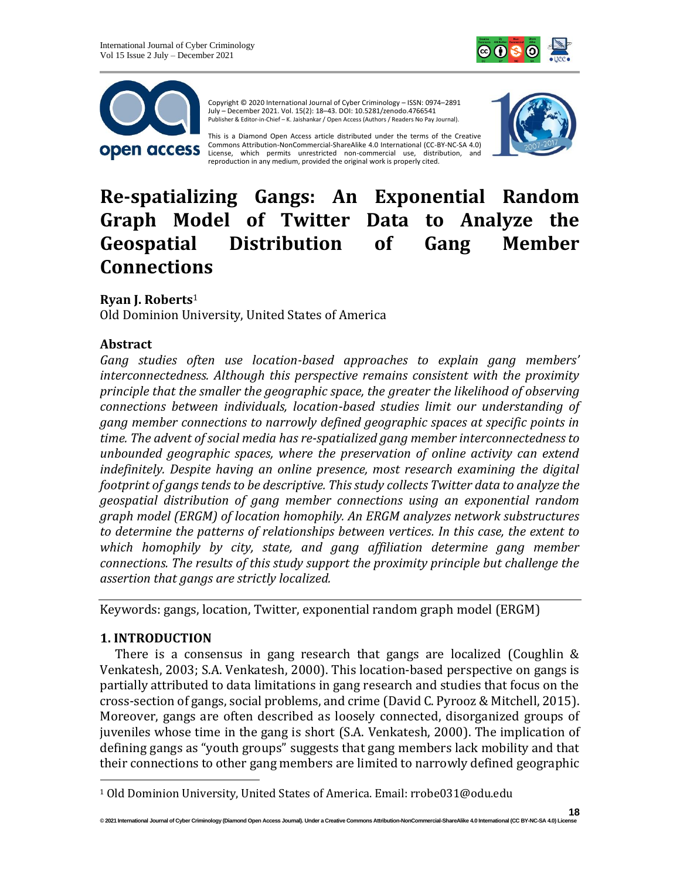



Copyright © 2020 International Journal of Cyber Criminology – ISSN: 0974–2891 July – December 2021. Vol. 15(2): 18–43. DOI: 10.5281/zenodo.4766541 Publisher & Editor-in-Chief – K. Jaishankar / Open Access (Authors / Readers No Pay Journal).

This is a Diamond Open Access article distributed under the terms of the Creative Commons Attribution-NonCommercial-ShareAlike 4.0 International (CC-BY-NC-SA 4.0) License, which permits unrestricted non-commercial use, distribution, and reproduction in any medium, provided the original work is properly cited.



# **Re-spatializing Gangs: An Exponential Random Graph Model of Twitter Data to Analyze the Geospatial Distribution of Gang Member Connections**

# **Ryan J. Roberts**<sup>1</sup>

Old Dominion University, United States of America

# **Abstract**

*Gang studies often use location-based approaches to explain gang members' interconnectedness. Although this perspective remains consistent with the proximity principle that the smaller the geographic space, the greater the likelihood of observing connections between individuals, location-based studies limit our understanding of gang member connections to narrowly defined geographic spaces at specific points in time. The advent of social media has re-spatialized gang member interconnectedness to unbounded geographic spaces, where the preservation of online activity can extend indefinitely. Despite having an online presence, most research examining the digital footprint of gangs tends to be descriptive. This study collects Twitter data to analyze the geospatial distribution of gang member connections using an exponential random graph model (ERGM) of location homophily. An ERGM analyzes network substructures to determine the patterns of relationships between vertices. In this case, the extent to which homophily by city, state, and gang affiliation determine gang member connections. The results of this study support the proximity principle but challenge the assertion that gangs are strictly localized.*

Keywords: gangs, location, Twitter, exponential random graph model (ERGM)

# **1. INTRODUCTION**

There is a consensus in gang research that gangs are localized (Coughlin & Venkatesh, 2003; S.A. Venkatesh, 2000). This location-based perspective on gangs is partially attributed to data limitations in gang research and studies that focus on the cross-section of gangs, social problems, and crime (David C. Pyrooz & Mitchell, 2015). Moreover, gangs are often described as loosely connected, disorganized groups of juveniles whose time in the gang is short (S.A. Venkatesh, 2000). The implication of defining gangs as "youth groups" suggests that gang members lack mobility and that their connections to other gang members are limited to narrowly defined geographic

<sup>1</sup> Old Dominion University, United States of America. Email: rrobe031@odu.edu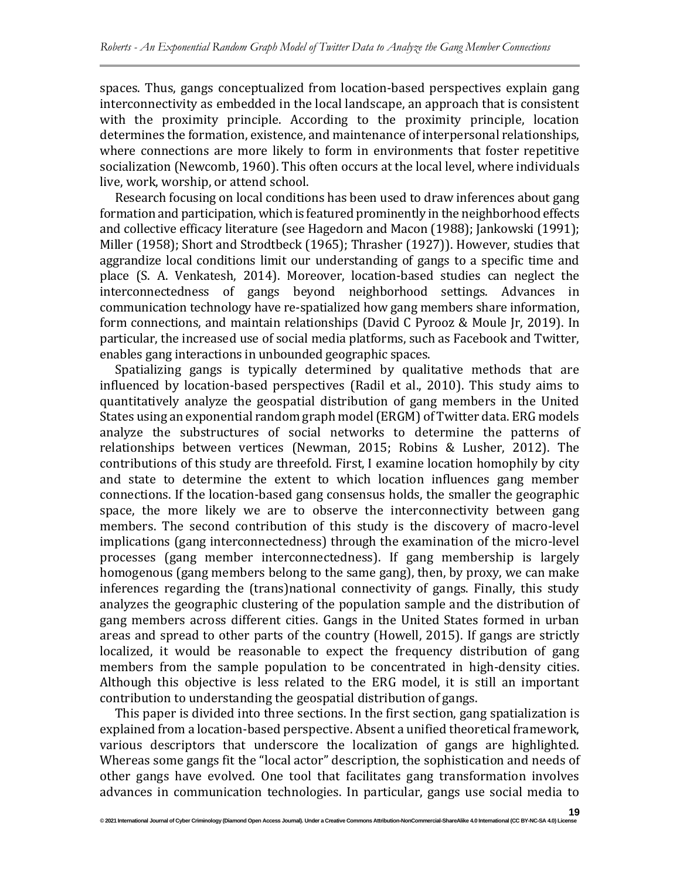spaces. Thus, gangs conceptualized from location-based perspectives explain gang interconnectivity as embedded in the local landscape, an approach that is consistent with the proximity principle. According to the proximity principle, location determines the formation, existence, and maintenance of interpersonal relationships, where connections are more likely to form in environments that foster repetitive socialization (Newcomb, 1960). This often occurs at the local level, where individuals live, work, worship, or attend school.

Research focusing on local conditions has been used to draw inferences about gang formation and participation, which is featured prominently in the neighborhood effects and collective efficacy literature (see Hagedorn and Macon (1988); Jankowski (1991); Miller (1958); Short and Strodtbeck (1965); Thrasher (1927)). However, studies that aggrandize local conditions limit our understanding of gangs to a specific time and place (S. A. Venkatesh, 2014). Moreover, location-based studies can neglect the interconnectedness of gangs beyond neighborhood settings. Advances in communication technology have re-spatialized how gang members share information, form connections, and maintain relationships (David C Pyrooz & Moule Jr, 2019). In particular, the increased use of social media platforms, such as Facebook and Twitter, enables gang interactions in unbounded geographic spaces.

Spatializing gangs is typically determined by qualitative methods that are influenced by location-based perspectives (Radil et al., 2010). This study aims to quantitatively analyze the geospatial distribution of gang members in the United States using an exponential random graph model (ERGM) of Twitter data. ERG models analyze the substructures of social networks to determine the patterns of relationships between vertices (Newman, 2015; Robins & Lusher, 2012). The contributions of this study are threefold. First, I examine location homophily by city and state to determine the extent to which location influences gang member connections. If the location-based gang consensus holds, the smaller the geographic space, the more likely we are to observe the interconnectivity between gang members. The second contribution of this study is the discovery of macro-level implications (gang interconnectedness) through the examination of the micro-level processes (gang member interconnectedness). If gang membership is largely homogenous (gang members belong to the same gang), then, by proxy, we can make inferences regarding the (trans)national connectivity of gangs. Finally, this study analyzes the geographic clustering of the population sample and the distribution of gang members across different cities. Gangs in the United States formed in urban areas and spread to other parts of the country (Howell, 2015). If gangs are strictly localized, it would be reasonable to expect the frequency distribution of gang members from the sample population to be concentrated in high-density cities. Although this objective is less related to the ERG model, it is still an important contribution to understanding the geospatial distribution of gangs.

This paper is divided into three sections. In the first section, gang spatialization is explained from a location-based perspective. Absent a unified theoretical framework, various descriptors that underscore the localization of gangs are highlighted. Whereas some gangs fit the "local actor" description, the sophistication and needs of other gangs have evolved. One tool that facilitates gang transformation involves advances in communication technologies. In particular, gangs use social media to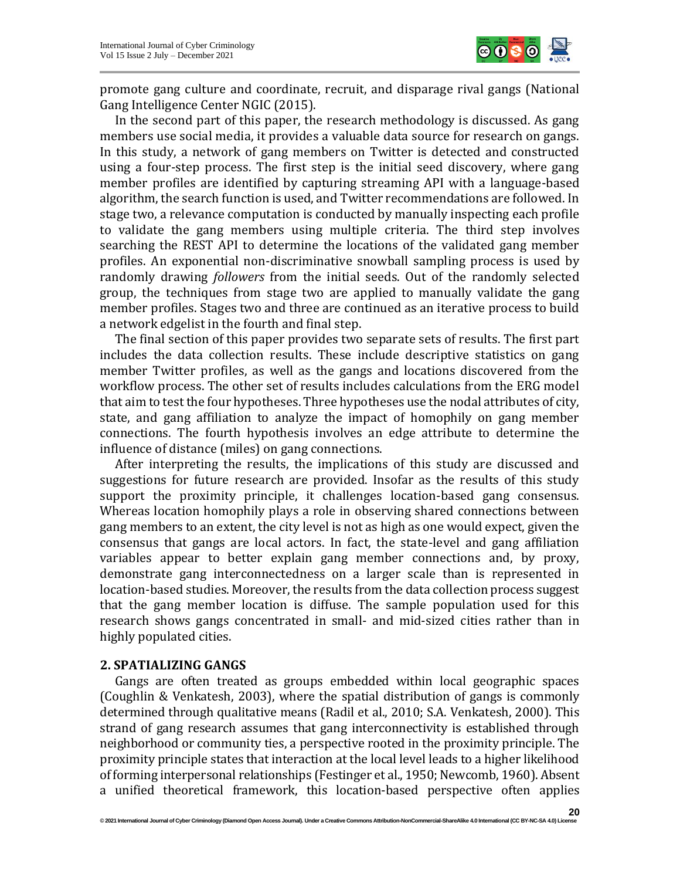

promote gang culture and coordinate, recruit, and disparage rival gangs (National Gang Intelligence Center NGIC (2015).

In the second part of this paper, the research methodology is discussed. As gang members use social media, it provides a valuable data source for research on gangs. In this study, a network of gang members on Twitter is detected and constructed using a four-step process. The first step is the initial seed discovery, where gang member profiles are identified by capturing streaming API with a language-based algorithm, the search function is used, and Twitter recommendations are followed. In stage two, a relevance computation is conducted by manually inspecting each profile to validate the gang members using multiple criteria. The third step involves searching the REST API to determine the locations of the validated gang member profiles. An exponential non-discriminative snowball sampling process is used by randomly drawing *followers* from the initial seeds. Out of the randomly selected group, the techniques from stage two are applied to manually validate the gang member profiles. Stages two and three are continued as an iterative process to build a network edgelist in the fourth and final step.

The final section of this paper provides two separate sets of results. The first part includes the data collection results. These include descriptive statistics on gang member Twitter profiles, as well as the gangs and locations discovered from the workflow process. The other set of results includes calculations from the ERG model that aim to test the four hypotheses. Three hypotheses use the nodal attributes of city, state, and gang affiliation to analyze the impact of homophily on gang member connections. The fourth hypothesis involves an edge attribute to determine the influence of distance (miles) on gang connections.

After interpreting the results, the implications of this study are discussed and suggestions for future research are provided. Insofar as the results of this study support the proximity principle, it challenges location-based gang consensus. Whereas location homophily plays a role in observing shared connections between gang members to an extent, the city level is not as high as one would expect, given the consensus that gangs are local actors. In fact, the state-level and gang affiliation variables appear to better explain gang member connections and, by proxy, demonstrate gang interconnectedness on a larger scale than is represented in location-based studies. Moreover, the results from the data collection process suggest that the gang member location is diffuse. The sample population used for this research shows gangs concentrated in small- and mid-sized cities rather than in highly populated cities.

#### **2. SPATIALIZING GANGS**

Gangs are often treated as groups embedded within local geographic spaces (Coughlin & Venkatesh, 2003), where the spatial distribution of gangs is commonly determined through qualitative means (Radil et al., 2010; S.A. Venkatesh, 2000). This strand of gang research assumes that gang interconnectivity is established through neighborhood or community ties, a perspective rooted in the proximity principle. The proximity principle states that interaction at the local level leads to a higher likelihood of forming interpersonal relationships (Festinger et al., 1950; Newcomb, 1960). Absent a unified theoretical framework, this location-based perspective often applies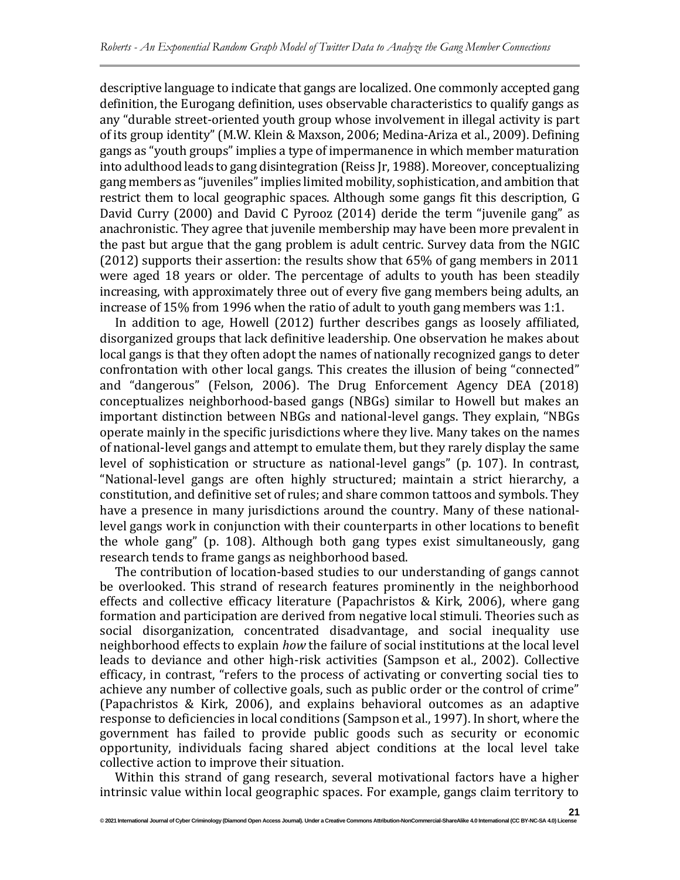descriptive language to indicate that gangs are localized. One commonly accepted gang definition, the Eurogang definition, uses observable characteristics to qualify gangs as any "durable street-oriented youth group whose involvement in illegal activity is part of its group identity" (M.W. Klein & Maxson, 2006; Medina-Ariza et al., 2009). Defining gangs as "youth groups" implies a type of impermanence in which member maturation into adulthood leads to gang disintegration (Reiss Jr, 1988). Moreover, conceptualizing gang members as "juveniles" implies limited mobility, sophistication, and ambition that restrict them to local geographic spaces. Although some gangs fit this description, G David Curry (2000) and David C Pyrooz (2014) deride the term "juvenile gang" as anachronistic. They agree that juvenile membership may have been more prevalent in the past but argue that the gang problem is adult centric. Survey data from the NGIC (2012) supports their assertion: the results show that 65% of gang members in 2011 were aged 18 years or older. The percentage of adults to youth has been steadily increasing, with approximately three out of every five gang members being adults, an increase of 15% from 1996 when the ratio of adult to youth gang members was 1:1.

In addition to age, Howell (2012) further describes gangs as loosely affiliated, disorganized groups that lack definitive leadership. One observation he makes about local gangs is that they often adopt the names of nationally recognized gangs to deter confrontation with other local gangs. This creates the illusion of being "connected" and "dangerous" (Felson, 2006). The Drug Enforcement Agency DEA (2018) conceptualizes neighborhood-based gangs (NBGs) similar to Howell but makes an important distinction between NBGs and national-level gangs. They explain, "NBGs operate mainly in the specific jurisdictions where they live. Many takes on the names of national-level gangs and attempt to emulate them, but they rarely display the same level of sophistication or structure as national-level gangs" (p. 107). In contrast, "National-level gangs are often highly structured; maintain a strict hierarchy, a constitution, and definitive set of rules; and share common tattoos and symbols. They have a presence in many jurisdictions around the country. Many of these nationallevel gangs work in conjunction with their counterparts in other locations to benefit the whole gang" (p. 108). Although both gang types exist simultaneously, gang research tends to frame gangs as neighborhood based.

The contribution of location-based studies to our understanding of gangs cannot be overlooked. This strand of research features prominently in the neighborhood effects and collective efficacy literature (Papachristos & Kirk, 2006), where gang formation and participation are derived from negative local stimuli. Theories such as social disorganization, concentrated disadvantage, and social inequality use neighborhood effects to explain *how* the failure of social institutions at the local level leads to deviance and other high-risk activities (Sampson et al., 2002). Collective efficacy, in contrast, "refers to the process of activating or converting social ties to achieve any number of collective goals, such as public order or the control of crime" (Papachristos & Kirk, 2006), and explains behavioral outcomes as an adaptive response to deficiencies in local conditions (Sampson et al., 1997). In short, where the government has failed to provide public goods such as security or economic opportunity, individuals facing shared abject conditions at the local level take collective action to improve their situation.

Within this strand of gang research, several motivational factors have a higher intrinsic value within local geographic spaces. For example, gangs claim territory to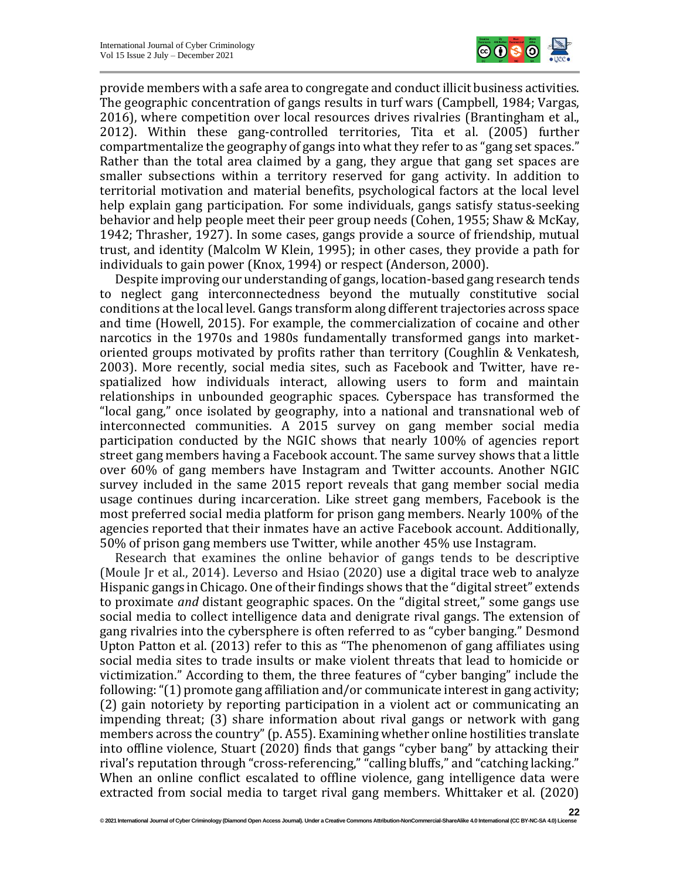

provide members with a safe area to congregate and conduct illicit business activities. The geographic concentration of gangs results in turf wars (Campbell, 1984; Vargas, 2016), where competition over local resources drives rivalries (Brantingham et al., 2012). Within these gang-controlled territories, Tita et al. (2005) further compartmentalize the geography of gangs into what they refer to as "gang set spaces." Rather than the total area claimed by a gang, they argue that gang set spaces are smaller subsections within a territory reserved for gang activity. In addition to territorial motivation and material benefits, psychological factors at the local level help explain gang participation. For some individuals, gangs satisfy status-seeking behavior and help people meet their peer group needs (Cohen, 1955; Shaw & McKay, 1942; Thrasher, 1927). In some cases, gangs provide a source of friendship, mutual trust, and identity (Malcolm W Klein, 1995); in other cases, they provide a path for individuals to gain power (Knox, 1994) or respect (Anderson, 2000).

Despite improving our understanding of gangs, location-based gang research tends to neglect gang interconnectedness beyond the mutually constitutive social conditions at the local level. Gangs transform along different trajectories across space and time (Howell, 2015). For example, the commercialization of cocaine and other narcotics in the 1970s and 1980s fundamentally transformed gangs into marketoriented groups motivated by profits rather than territory (Coughlin & Venkatesh, 2003). More recently, social media sites, such as Facebook and Twitter, have respatialized how individuals interact, allowing users to form and maintain relationships in unbounded geographic spaces. Cyberspace has transformed the "local gang," once isolated by geography, into a national and transnational web of interconnected communities. A 2015 survey on gang member social media participation conducted by the NGIC shows that nearly 100% of agencies report street gang members having a Facebook account. The same survey shows that a little over 60% of gang members have Instagram and Twitter accounts. Another NGIC survey included in the same 2015 report reveals that gang member social media usage continues during incarceration. Like street gang members, Facebook is the most preferred social media platform for prison gang members. Nearly 100% of the agencies reported that their inmates have an active Facebook account. Additionally, 50% of prison gang members use Twitter, while another 45% use Instagram.

Research that examines the online behavior of gangs tends to be descriptive (Moule Jr et al., 2014). Leverso and Hsiao (2020) use a digital trace web to analyze Hispanic gangs in Chicago. One of their findings shows that the "digital street" extends to proximate *and* distant geographic spaces. On the "digital street," some gangs use social media to collect intelligence data and denigrate rival gangs. The extension of gang rivalries into the cybersphere is often referred to as "cyber banging." Desmond Upton Patton et al. (2013) refer to this as "The phenomenon of gang affiliates using social media sites to trade insults or make violent threats that lead to homicide or victimization." According to them, the three features of "cyber banging" include the following: "(1) promote gang affiliation and/or communicate interest in gang activity; (2) gain notoriety by reporting participation in a violent act or communicating an impending threat; (3) share information about rival gangs or network with gang members across the country" (p. A55). Examining whether online hostilities translate into offline violence, Stuart (2020) finds that gangs "cyber bang" by attacking their rival's reputation through "cross-referencing," "calling bluffs," and "catching lacking." When an online conflict escalated to offline violence, gang intelligence data were extracted from social media to target rival gang members. Whittaker et al. (2020)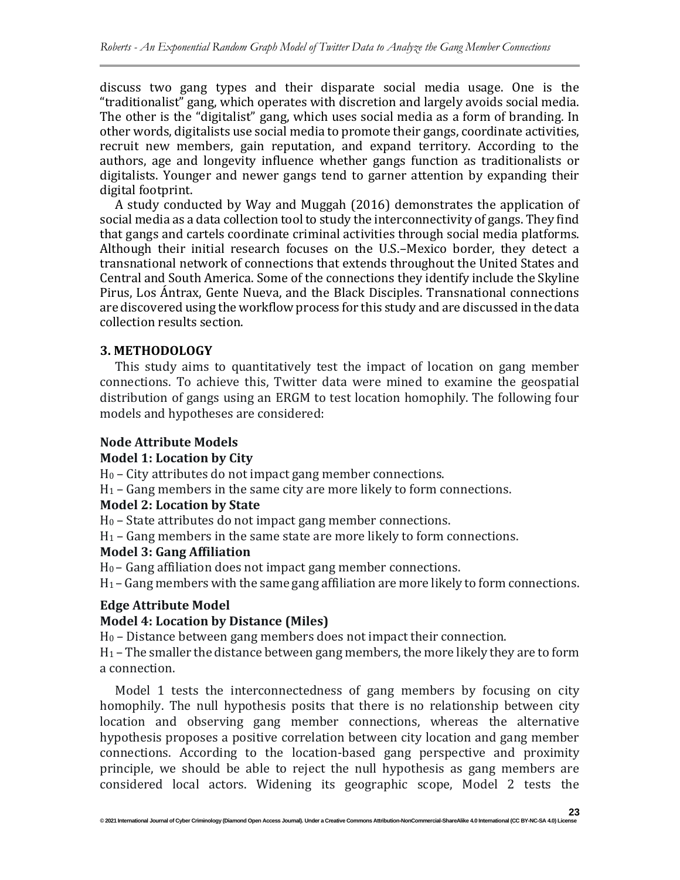discuss two gang types and their disparate social media usage. One is the "traditionalist" gang, which operates with discretion and largely avoids social media. The other is the "digitalist" gang, which uses social media as a form of branding. In other words, digitalists use social media to promote their gangs, coordinate activities, recruit new members, gain reputation, and expand territory. According to the authors, age and longevity influence whether gangs function as traditionalists or digitalists. Younger and newer gangs tend to garner attention by expanding their digital footprint.

A study conducted by Way and Muggah (2016) demonstrates the application of social media as a data collection tool to study the interconnectivity of gangs. They find that gangs and cartels coordinate criminal activities through social media platforms. Although their initial research focuses on the U.S.–Mexico border, they detect a transnational network of connections that extends throughout the United States and Central and South America. Some of the connections they identify include the Skyline Pirus, Los Ántrax, Gente Nueva, and the Black Disciples. Transnational connections are discovered using the workflow process for this study and are discussed in the data collection results section.

# **3. METHODOLOGY**

This study aims to quantitatively test the impact of location on gang member connections. To achieve this, Twitter data were mined to examine the geospatial distribution of gangs using an ERGM to test location homophily. The following four models and hypotheses are considered:

# **Node Attribute Models**

# **Model 1: Location by City**

H<sup>0</sup> – City attributes do not impact gang member connections.

H<sup>1</sup> – Gang members in the same city are more likely to form connections.

# **Model 2: Location by State**

H<sup>0</sup> – State attributes do not impact gang member connections.

H<sup>1</sup> – Gang members in the same state are more likely to form connections.

# **Model 3: Gang Affiliation**

H0 – Gang affiliation does not impact gang member connections.

H1 – Gang members with the same gang affiliation are more likely to form connections.

# **Edge Attribute Model**

# **Model 4: Location by Distance (Miles)**

H<sup>0</sup> – Distance between gang members does not impact their connection.

H<sup>1</sup> – The smaller the distance between gang members, the more likely they are to form a connection.

Model 1 tests the interconnectedness of gang members by focusing on city homophily. The null hypothesis posits that there is no relationship between city location and observing gang member connections, whereas the alternative hypothesis proposes a positive correlation between city location and gang member connections. According to the location-based gang perspective and proximity principle, we should be able to reject the null hypothesis as gang members are considered local actors. Widening its geographic scope, Model 2 tests the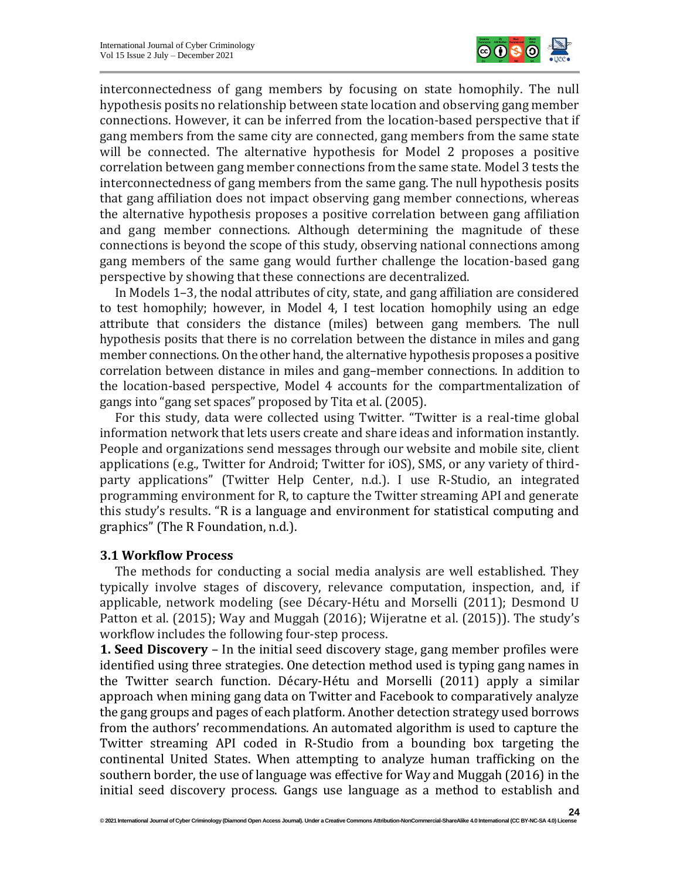

interconnectedness of gang members by focusing on state homophily. The null hypothesis posits no relationship between state location and observing gang member connections. However, it can be inferred from the location-based perspective that if gang members from the same city are connected, gang members from the same state will be connected. The alternative hypothesis for Model 2 proposes a positive correlation between gang member connections from the same state. Model 3 tests the interconnectedness of gang members from the same gang. The null hypothesis posits that gang affiliation does not impact observing gang member connections, whereas the alternative hypothesis proposes a positive correlation between gang affiliation and gang member connections. Although determining the magnitude of these connections is beyond the scope of this study, observing national connections among gang members of the same gang would further challenge the location-based gang perspective by showing that these connections are decentralized.

In Models 1–3, the nodal attributes of city, state, and gang affiliation are considered to test homophily; however, in Model 4, I test location homophily using an edge attribute that considers the distance (miles) between gang members. The null hypothesis posits that there is no correlation between the distance in miles and gang member connections. On the other hand, the alternative hypothesis proposes a positive correlation between distance in miles and gang–member connections. In addition to the location-based perspective, Model 4 accounts for the compartmentalization of gangs into "gang set spaces" proposed by Tita et al. (2005).

For this study, data were collected using Twitter. "Twitter is a real-time global information network that lets users create and share ideas and information instantly. People and organizations send messages through our website and mobile site, client applications (e.g., Twitter for Android; Twitter for iOS), SMS, or any variety of thirdparty applications" (Twitter Help Center, n.d.). I use R-Studio, an integrated programming environment for R, to capture the Twitter streaming API and generate this study's results. "R is a language and environment for statistical computing and graphics" (The R Foundation, n.d.).

#### **3.1 Workflow Process**

The methods for conducting a social media analysis are well established. They typically involve stages of discovery, relevance computation, inspection, and, if applicable, network modeling (see Décary-Hétu and Morselli (2011); Desmond U Patton et al. (2015); Way and Muggah (2016); Wijeratne et al. (2015)). The study's workflow includes the following four-step process.

**1. Seed Discovery** – In the initial seed discovery stage, gang member profiles were identified using three strategies. One detection method used is typing gang names in the Twitter search function. Décary-Hétu and Morselli (2011) apply a similar approach when mining gang data on Twitter and Facebook to comparatively analyze the gang groups and pages of each platform. Another detection strategy used borrows from the authors' recommendations. An automated algorithm is used to capture the Twitter streaming API coded in R-Studio from a bounding box targeting the continental United States. When attempting to analyze human trafficking on the southern border, the use of language was effective for Way and Muggah (2016) in the initial seed discovery process. Gangs use language as a method to establish and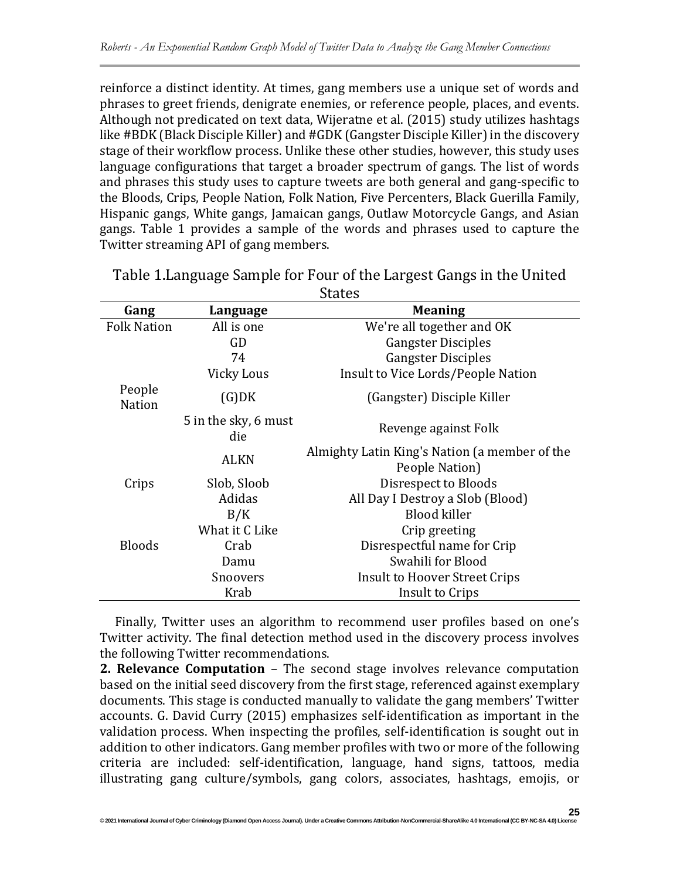reinforce a distinct identity. At times, gang members use a unique set of words and phrases to greet friends, denigrate enemies, or reference people, places, and events. Although not predicated on text data, Wijeratne et al. (2015) study utilizes hashtags like #BDK (Black Disciple Killer) and #GDK (Gangster Disciple Killer) in the discovery stage of their workflow process. Unlike these other studies, however, this study uses language configurations that target a broader spectrum of gangs. The list of words and phrases this study uses to capture tweets are both general and gang-specific to the Bloods, Crips, People Nation, Folk Nation, Five Percenters, Black Guerilla Family, Hispanic gangs, White gangs, Jamaican gangs, Outlaw Motorcycle Gangs, and Asian gangs. Table 1 provides a sample of the words and phrases used to capture the Twitter streaming API of gang members.

| Gang                    | Language                    | <b>Meaning</b>                                |  |  |  |  |
|-------------------------|-----------------------------|-----------------------------------------------|--|--|--|--|
| <b>Folk Nation</b>      | All is one                  | We're all together and OK                     |  |  |  |  |
|                         | GD                          | <b>Gangster Disciples</b>                     |  |  |  |  |
|                         | 74                          | <b>Gangster Disciples</b>                     |  |  |  |  |
|                         | Vicky Lous                  | Insult to Vice Lords/People Nation            |  |  |  |  |
| People<br><b>Nation</b> | (G)DK                       | (Gangster) Disciple Killer                    |  |  |  |  |
|                         | 5 in the sky, 6 must<br>die | Revenge against Folk                          |  |  |  |  |
|                         | <b>ALKN</b>                 | Almighty Latin King's Nation (a member of the |  |  |  |  |
|                         |                             | People Nation)                                |  |  |  |  |
| Crips                   | Slob, Sloob                 | Disrespect to Bloods                          |  |  |  |  |
|                         | Adidas                      | All Day I Destroy a Slob (Blood)              |  |  |  |  |
|                         | B/K                         | <b>Blood killer</b>                           |  |  |  |  |
|                         | What it C Like              | Crip greeting                                 |  |  |  |  |
| <b>Bloods</b>           | Crab                        | Disrespectful name for Crip                   |  |  |  |  |
|                         | Damu                        | Swahili for Blood                             |  |  |  |  |
|                         | Snoovers                    | Insult to Hoover Street Crips                 |  |  |  |  |
|                         | Krab                        | Insult to Crips                               |  |  |  |  |

Table 1.Language Sample for Four of the Largest Gangs in the United **States** 

Finally, Twitter uses an algorithm to recommend user profiles based on one's Twitter activity. The final detection method used in the discovery process involves the following Twitter recommendations.

**2. Relevance Computation** – The second stage involves relevance computation based on the initial seed discovery from the first stage, referenced against exemplary documents. This stage is conducted manually to validate the gang members' Twitter accounts. G. David Curry (2015) emphasizes self-identification as important in the validation process. When inspecting the profiles, self-identification is sought out in addition to other indicators. Gang member profiles with two or more of the following criteria are included: self-identification, language, hand signs, tattoos, media illustrating gang culture/symbols, gang colors, associates, hashtags, emojis, or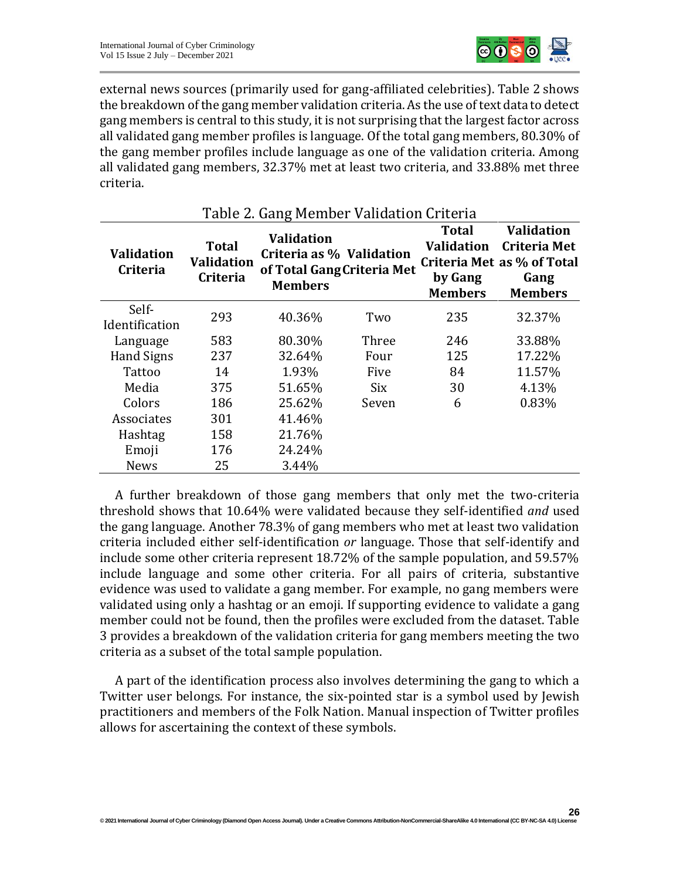

**26**

external news sources (primarily used for gang-affiliated celebrities). Table 2 shows the breakdown of the gang member validation criteria. As the use of text data to detect gang members is central to this study, it is not surprising that the largest factor across all validated gang member profiles is language. Of the total gang members, 80.30% of the gang member profiles include language as one of the validation criteria. Among all validated gang members, 32.37% met at least two criteria, and 33.88% met three criteria.

| rapic = dang richiper vanaation driteria |                                                      |                                                                                               |       |                                                                |                                                                                                  |  |  |  |
|------------------------------------------|------------------------------------------------------|-----------------------------------------------------------------------------------------------|-------|----------------------------------------------------------------|--------------------------------------------------------------------------------------------------|--|--|--|
| <b>Validation</b><br><b>Criteria</b>     | <b>Total</b><br><b>Validation</b><br><b>Criteria</b> | <b>Validation</b><br>Criteria as % Validation<br>of Total Gang Criteria Met<br><b>Members</b> |       | <b>Total</b><br><b>Validation</b><br>by Gang<br><b>Members</b> | <b>Validation</b><br><b>Criteria Met</b><br>Criteria Met as % of Total<br>Gang<br><b>Members</b> |  |  |  |
| Self-<br>Identification                  | 293                                                  | 40.36%                                                                                        | Two   | 235                                                            | 32.37%                                                                                           |  |  |  |
| Language                                 | 583                                                  | 80.30%                                                                                        | Three | 246                                                            | 33.88%                                                                                           |  |  |  |
| <b>Hand Signs</b>                        | 237                                                  | 32.64%                                                                                        | Four  | 125                                                            | 17.22%                                                                                           |  |  |  |
| Tattoo                                   | 14                                                   | 1.93%                                                                                         | Five  | 84                                                             | 11.57%                                                                                           |  |  |  |
| Media                                    | 375                                                  | 51.65%                                                                                        | Six   | 30                                                             | 4.13%                                                                                            |  |  |  |
| Colors                                   | 186                                                  | 25.62%                                                                                        | Seven | 6                                                              | 0.83%                                                                                            |  |  |  |
| Associates                               | 301                                                  | 41.46%                                                                                        |       |                                                                |                                                                                                  |  |  |  |
| Hashtag                                  | 158                                                  | 21.76%                                                                                        |       |                                                                |                                                                                                  |  |  |  |
| Emoji                                    | 176                                                  | 24.24%                                                                                        |       |                                                                |                                                                                                  |  |  |  |
| <b>News</b>                              | 25                                                   | 3.44%                                                                                         |       |                                                                |                                                                                                  |  |  |  |

# Table 2. Gang Member Validation Criteria

A further breakdown of those gang members that only met the two-criteria threshold shows that 10.64% were validated because they self-identified *and* used the gang language. Another 78.3% of gang members who met at least two validation criteria included either self-identification *or* language. Those that self-identify and include some other criteria represent 18.72% of the sample population, and 59.57% include language and some other criteria. For all pairs of criteria, substantive evidence was used to validate a gang member. For example, no gang members were validated using only a hashtag or an emoji. If supporting evidence to validate a gang member could not be found, then the profiles were excluded from the dataset. Table 3 provides a breakdown of the validation criteria for gang members meeting the two criteria as a subset of the total sample population.

A part of the identification process also involves determining the gang to which a Twitter user belongs. For instance, the six-pointed star is a symbol used by Jewish practitioners and members of the Folk Nation. Manual inspection of Twitter profiles allows for ascertaining the context of these symbols.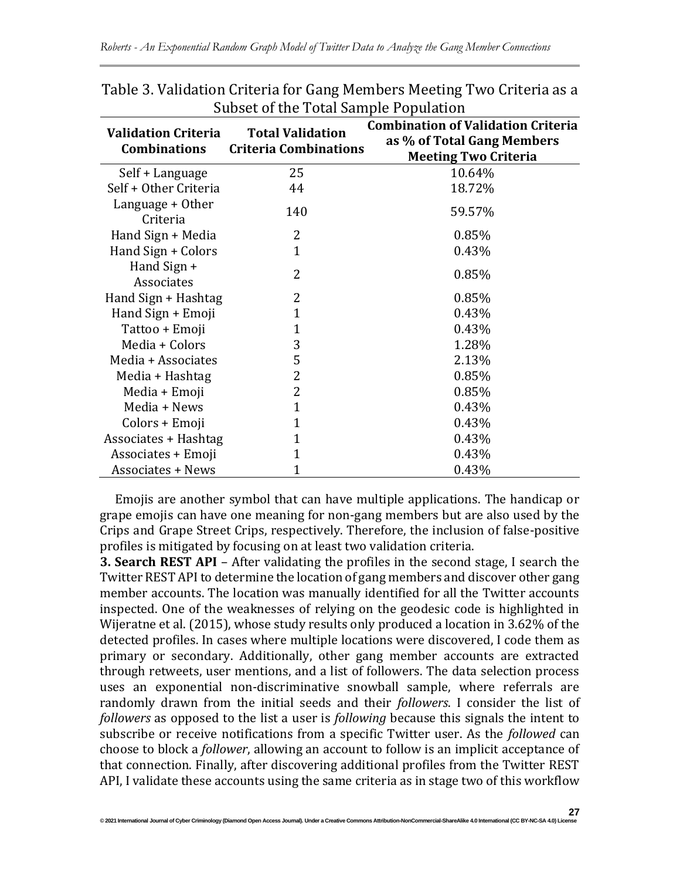| <b>Validation Criteria</b><br><b>Combinations</b> | <b>Total Validation</b><br><b>Criteria Combinations</b> | <b>Combination of Validation Criteria</b><br>as % of Total Gang Members<br><b>Meeting Two Criteria</b> |
|---------------------------------------------------|---------------------------------------------------------|--------------------------------------------------------------------------------------------------------|
| Self + Language                                   | 25                                                      | 10.64%                                                                                                 |
| Self + Other Criteria                             | 44                                                      | 18.72%                                                                                                 |
| Language + Other<br>Criteria                      | 140                                                     | 59.57%                                                                                                 |
| Hand Sign + Media                                 | 2                                                       | 0.85%                                                                                                  |
| Hand Sign + Colors                                | $\mathbf{1}$                                            | 0.43%                                                                                                  |
| Hand Sign +<br>Associates                         | 2                                                       | 0.85%                                                                                                  |
| Hand Sign + Hashtag                               | 2                                                       | 0.85%                                                                                                  |
| Hand Sign + Emoji                                 | 1                                                       | 0.43%                                                                                                  |
| Tattoo + Emoji                                    | 1                                                       | 0.43%                                                                                                  |
| Media + Colors                                    | 3                                                       | 1.28%                                                                                                  |
| Media + Associates                                | 5                                                       | 2.13%                                                                                                  |
| Media + Hashtag                                   | 2                                                       | 0.85%                                                                                                  |
| Media + Emoji                                     | 2                                                       | 0.85%                                                                                                  |
| Media + News                                      | 1                                                       | 0.43%                                                                                                  |
| Colors + Emoji                                    | 1                                                       | 0.43%                                                                                                  |
| Associates + Hashtag                              | $\mathbf{1}$                                            | 0.43%                                                                                                  |
| Associates + Emoji                                | $\mathbf{1}$                                            | 0.43%                                                                                                  |
| <b>Associates + News</b>                          | 1                                                       | 0.43%                                                                                                  |

Table 3. Validation Criteria for Gang Members Meeting Two Criteria as a Subset of the Total Sample Population

Emojis are another symbol that can have multiple applications. The handicap or grape emojis can have one meaning for non-gang members but are also used by the Crips and Grape Street Crips, respectively. Therefore, the inclusion of false-positive profiles is mitigated by focusing on at least two validation criteria.

**3. Search REST API** – After validating the profiles in the second stage, I search the Twitter REST API to determine the location of gang members and discover other gang member accounts. The location was manually identified for all the Twitter accounts inspected. One of the weaknesses of relying on the geodesic code is highlighted in Wijeratne et al. (2015), whose study results only produced a location in 3.62% of the detected profiles. In cases where multiple locations were discovered, I code them as primary or secondary. Additionally, other gang member accounts are extracted through retweets, user mentions, and a list of followers. The data selection process uses an exponential non-discriminative snowball sample, where referrals are randomly drawn from the initial seeds and their *followers*. I consider the list of *followers* as opposed to the list a user is *following* because this signals the intent to subscribe or receive notifications from a specific Twitter user. As the *followed* can choose to block a *follower*, allowing an account to follow is an implicit acceptance of that connection. Finally, after discovering additional profiles from the Twitter REST API, I validate these accounts using the same criteria as in stage two of this workflow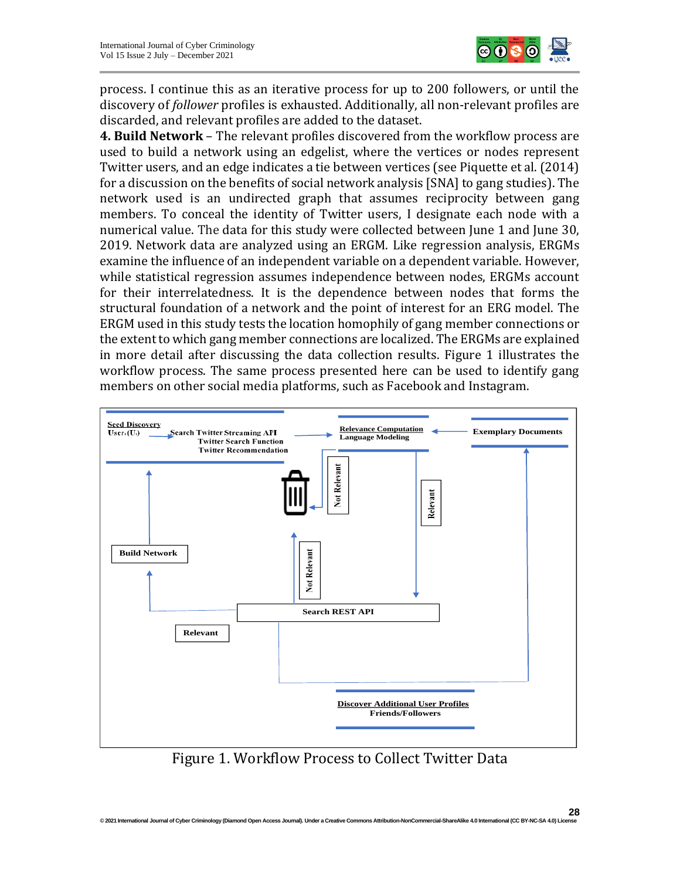

process. I continue this as an iterative process for up to 200 followers, or until the discovery of *follower* profiles is exhausted. Additionally, all non-relevant profiles are discarded, and relevant profiles are added to the dataset.

**4. Build Network** – The relevant profiles discovered from the workflow process are used to build a network using an edgelist, where the vertices or nodes represent Twitter users, and an edge indicates a tie between vertices (see Piquette et al. (2014) for a discussion on the benefits of social network analysis [SNA] to gang studies). The network used is an undirected graph that assumes reciprocity between gang members. To conceal the identity of Twitter users, I designate each node with a numerical value. The data for this study were collected between June 1 and June 30, 2019. Network data are analyzed using an ERGM. Like regression analysis, ERGMs examine the influence of an independent variable on a dependent variable. However, while statistical regression assumes independence between nodes, ERGMs account for their interrelatedness. It is the dependence between nodes that forms the structural foundation of a network and the point of interest for an ERG model. The ERGM used in this study tests the location homophily of gang member connections or the extent to which gang member connections are localized. The ERGMs are explained in more detail after discussing the data collection results. Figure 1 illustrates the workflow process. The same process presented here can be used to identify gang members on other social media platforms, such as Facebook and Instagram.



Figure 1. Workflow Process to Collect Twitter Data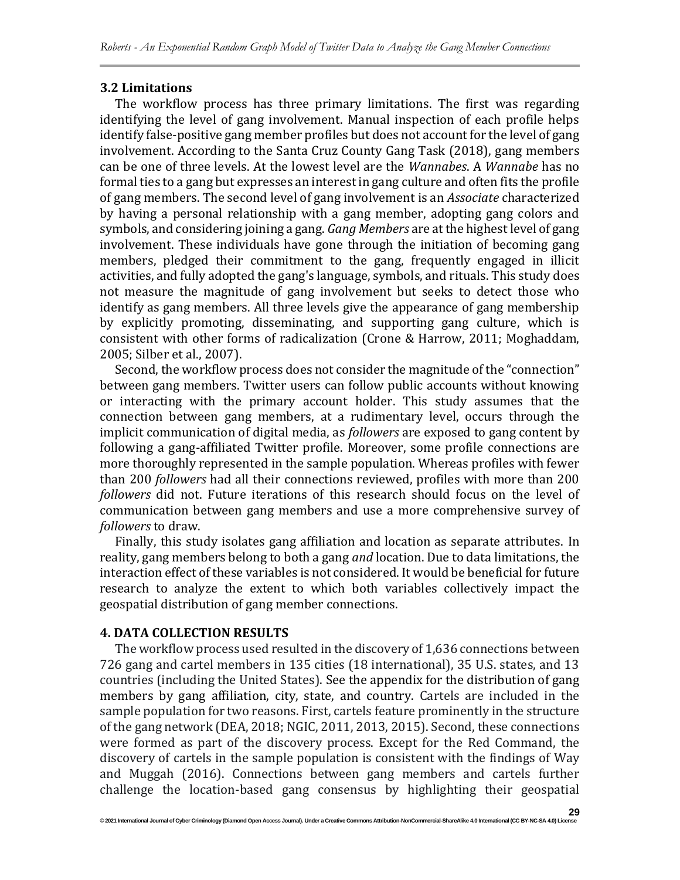#### **3.2 Limitations**

The workflow process has three primary limitations. The first was regarding identifying the level of gang involvement. Manual inspection of each profile helps identify false-positive gang member profiles but does not account for the level of gang involvement. According to the Santa Cruz County Gang Task (2018), gang members can be one of three levels. At the lowest level are the *Wannabes*. A *Wannabe* has no formal ties to a gang but expresses an interest in gang culture and often fits the profile of gang members. The second level of gang involvement is an *Associate* characterized by having a personal relationship with a gang member, adopting gang colors and symbols, and considering joining a gang. *Gang Members* are at the highest level of gang involvement. These individuals have gone through the initiation of becoming gang members, pledged their commitment to the gang, frequently engaged in illicit activities, and fully adopted the gang's language, symbols, and rituals. This study does not measure the magnitude of gang involvement but seeks to detect those who identify as gang members. All three levels give the appearance of gang membership by explicitly promoting, disseminating, and supporting gang culture, which is consistent with other forms of radicalization (Crone & Harrow, 2011; Moghaddam, 2005; Silber et al., 2007).

Second, the workflow process does not consider the magnitude of the "connection" between gang members. Twitter users can follow public accounts without knowing or interacting with the primary account holder. This study assumes that the connection between gang members, at a rudimentary level, occurs through the implicit communication of digital media, as *followers* are exposed to gang content by following a gang-affiliated Twitter profile. Moreover, some profile connections are more thoroughly represented in the sample population. Whereas profiles with fewer than 200 *followers* had all their connections reviewed, profiles with more than 200 *followers* did not. Future iterations of this research should focus on the level of communication between gang members and use a more comprehensive survey of *followers* to draw.

Finally, this study isolates gang affiliation and location as separate attributes. In reality, gang members belong to both a gang *and* location. Due to data limitations, the interaction effect of these variables is not considered. It would be beneficial for future research to analyze the extent to which both variables collectively impact the geospatial distribution of gang member connections.

#### **4. DATA COLLECTION RESULTS**

The workflow process used resulted in the discovery of 1,636 connections between 726 gang and cartel members in 135 cities (18 international), 35 U.S. states, and 13 countries (including the United States). See the appendix for the distribution of gang members by gang affiliation, city, state, and country. Cartels are included in the sample population for two reasons. First, cartels feature prominently in the structure of the gang network (DEA, 2018; NGIC, 2011, 2013, 2015). Second, these connections were formed as part of the discovery process. Except for the Red Command, the discovery of cartels in the sample population is consistent with the findings of Way and Muggah (2016). Connections between gang members and cartels further challenge the location-based gang consensus by highlighting their geospatial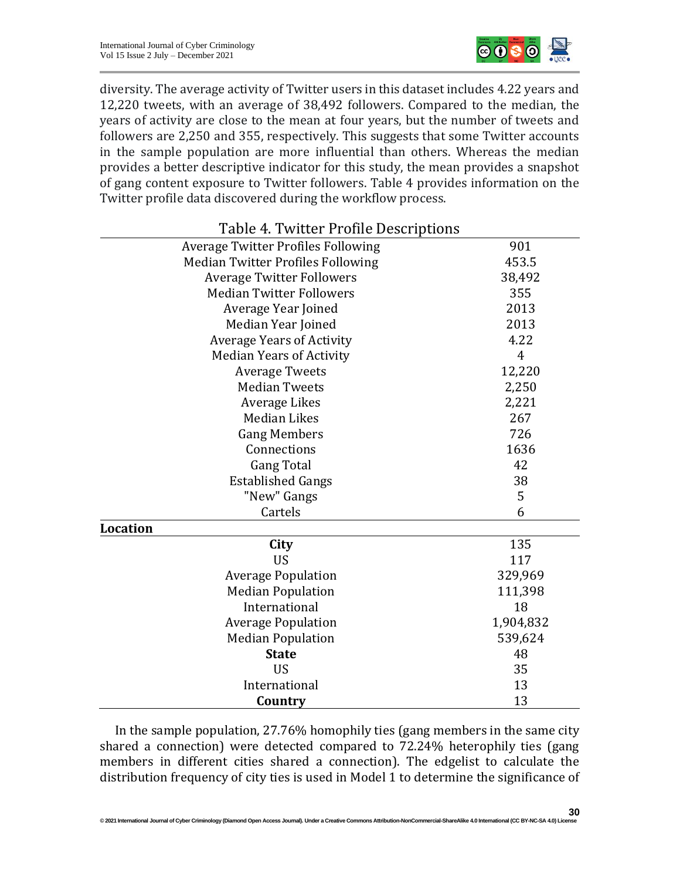

diversity. The average activity of Twitter users in this dataset includes 4.22 years and 12,220 tweets, with an average of 38,492 followers. Compared to the median, the years of activity are close to the mean at four years, but the number of tweets and followers are 2,250 and 355, respectively. This suggests that some Twitter accounts in the sample population are more influential than others. Whereas the median provides a better descriptive indicator for this study, the mean provides a snapshot of gang content exposure to Twitter followers. Table 4 provides information on the Twitter profile data discovered during the workflow process.

| Table 4. Twitter Profile Descriptions     |                |
|-------------------------------------------|----------------|
| <b>Average Twitter Profiles Following</b> | 901            |
| <b>Median Twitter Profiles Following</b>  | 453.5          |
| <b>Average Twitter Followers</b>          | 38,492         |
| <b>Median Twitter Followers</b>           | 355            |
| Average Year Joined                       | 2013           |
| Median Year Joined                        | 2013           |
| <b>Average Years of Activity</b>          | 4.22           |
| <b>Median Years of Activity</b>           | $\overline{4}$ |
| <b>Average Tweets</b>                     | 12,220         |
| <b>Median Tweets</b>                      | 2,250          |
| Average Likes                             | 2,221          |
| <b>Median Likes</b>                       | 267            |
| <b>Gang Members</b>                       | 726            |
| Connections                               | 1636           |
| <b>Gang Total</b>                         | 42             |
| <b>Established Gangs</b>                  | 38             |
| "New" Gangs                               | 5              |
| Cartels                                   | 6              |
| <b>Location</b>                           |                |
| City                                      | 135            |
| <b>US</b>                                 | 117            |
| <b>Average Population</b>                 | 329,969        |
| <b>Median Population</b>                  | 111,398        |
| International                             | 18             |
| <b>Average Population</b>                 | 1,904,832      |
| <b>Median Population</b>                  | 539,624        |
| <b>State</b>                              | 48             |
| <b>US</b>                                 | 35             |
| International                             | 13             |
| Country                                   | 13             |

In the sample population, 27.76% homophily ties (gang members in the same city shared a connection) were detected compared to 72.24% heterophily ties (gang members in different cities shared a connection). The edgelist to calculate the distribution frequency of city ties is used in Model 1 to determine the significance of

**30**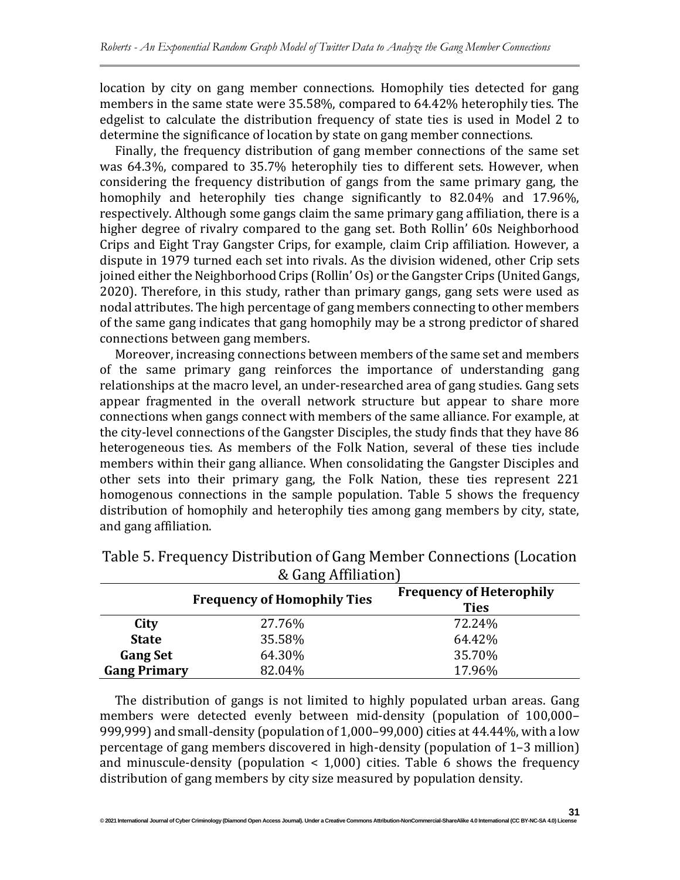location by city on gang member connections. Homophily ties detected for gang members in the same state were 35.58%, compared to 64.42% heterophily ties. The edgelist to calculate the distribution frequency of state ties is used in Model 2 to determine the significance of location by state on gang member connections.

Finally, the frequency distribution of gang member connections of the same set was 64.3%, compared to 35.7% heterophily ties to different sets. However, when considering the frequency distribution of gangs from the same primary gang, the homophily and heterophily ties change significantly to 82.04% and 17.96%, respectively. Although some gangs claim the same primary gang affiliation, there is a higher degree of rivalry compared to the gang set. Both Rollin' 60s Neighborhood Crips and Eight Tray Gangster Crips, for example, claim Crip affiliation. However, a dispute in 1979 turned each set into rivals. As the division widened, other Crip sets joined either the Neighborhood Crips (Rollin' Os) or the Gangster Crips (United Gangs, 2020). Therefore, in this study, rather than primary gangs, gang sets were used as nodal attributes. The high percentage of gang members connecting to other members of the same gang indicates that gang homophily may be a strong predictor of shared connections between gang members.

Moreover, increasing connections between members of the same set and members of the same primary gang reinforces the importance of understanding gang relationships at the macro level, an under-researched area of gang studies. Gang sets appear fragmented in the overall network structure but appear to share more connections when gangs connect with members of the same alliance. For example, at the city-level connections of the Gangster Disciples, the study finds that they have 86 heterogeneous ties. As members of the Folk Nation, several of these ties include members within their gang alliance. When consolidating the Gangster Disciples and other sets into their primary gang, the Folk Nation, these ties represent 221 homogenous connections in the sample population. Table 5 shows the frequency distribution of homophily and heterophily ties among gang members by city, state, and gang affiliation.

| $\alpha$ daily Allillation |                                    |                                                |  |  |  |  |
|----------------------------|------------------------------------|------------------------------------------------|--|--|--|--|
|                            | <b>Frequency of Homophily Ties</b> | <b>Frequency of Heterophily</b><br><b>Ties</b> |  |  |  |  |
| City                       | 27.76%                             | 72.24%                                         |  |  |  |  |
| <b>State</b>               | 35.58%                             | 64.42%                                         |  |  |  |  |
| <b>Gang Set</b>            | 64.30%                             | 35.70%                                         |  |  |  |  |
| <b>Gang Primary</b>        | 82.04%                             | 17.96%                                         |  |  |  |  |

Table 5. Frequency Distribution of Gang Member Connections (Location & Gang Affiliation)

The distribution of gangs is not limited to highly populated urban areas. Gang members were detected evenly between mid-density (population of 100,000– 999,999) and small-density (population of 1,000–99,000) cities at 44.44%, with a low percentage of gang members discovered in high-density (population of 1–3 million) and minuscule-density (population < 1,000) cities. Table 6 shows the frequency distribution of gang members by city size measured by population density.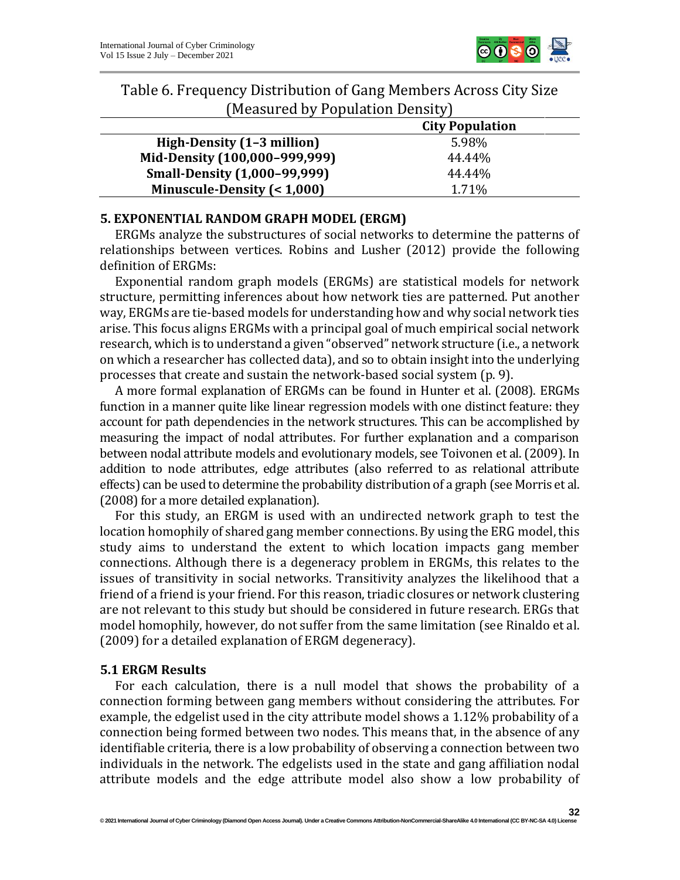

| Table 6. Frequency Distribution of Gang Members Across City Size |  |
|------------------------------------------------------------------|--|
| (Measured by Population Density)                                 |  |

|                                     | <b>City Population</b> |
|-------------------------------------|------------------------|
| High-Density (1-3 million)          | 5.98%                  |
| Mid-Density (100,000-999,999)       | 44.44%                 |
| <b>Small-Density (1,000-99,999)</b> | 44.44%                 |
| Minuscule-Density $(1,000)$         | 1.71%                  |

# **5. EXPONENTIAL RANDOM GRAPH MODEL (ERGM)**

ERGMs analyze the substructures of social networks to determine the patterns of relationships between vertices. Robins and Lusher (2012) provide the following definition of ERGMs:

Exponential random graph models (ERGMs) are statistical models for network structure, permitting inferences about how network ties are patterned. Put another way, ERGMs are tie-based models for understanding how and why social network ties arise. This focus aligns ERGMs with a principal goal of much empirical social network research, which is to understand a given "observed" network structure (i.e., a network on which a researcher has collected data), and so to obtain insight into the underlying processes that create and sustain the network-based social system (p. 9).

A more formal explanation of ERGMs can be found in Hunter et al. (2008). ERGMs function in a manner quite like linear regression models with one distinct feature: they account for path dependencies in the network structures. This can be accomplished by measuring the impact of nodal attributes. For further explanation and a comparison between nodal attribute models and evolutionary models, see Toivonen et al. (2009). In addition to node attributes, edge attributes (also referred to as relational attribute effects) can be used to determine the probability distribution of a graph (see Morris et al. (2008) for a more detailed explanation).

For this study, an ERGM is used with an undirected network graph to test the location homophily of shared gang member connections. By using the ERG model, this study aims to understand the extent to which location impacts gang member connections. Although there is a degeneracy problem in ERGMs, this relates to the issues of transitivity in social networks. Transitivity analyzes the likelihood that a friend of a friend is your friend. For this reason, triadic closures or network clustering are not relevant to this study but should be considered in future research. ERGs that model homophily, however, do not suffer from the same limitation (see Rinaldo et al. (2009) for a detailed explanation of ERGM degeneracy).

# **5.1 ERGM Results**

For each calculation, there is a null model that shows the probability of a connection forming between gang members without considering the attributes. For example, the edgelist used in the city attribute model shows a 1.12% probability of a connection being formed between two nodes. This means that, in the absence of any identifiable criteria, there is a low probability of observing a connection between two individuals in the network. The edgelists used in the state and gang affiliation nodal attribute models and the edge attribute model also show a low probability of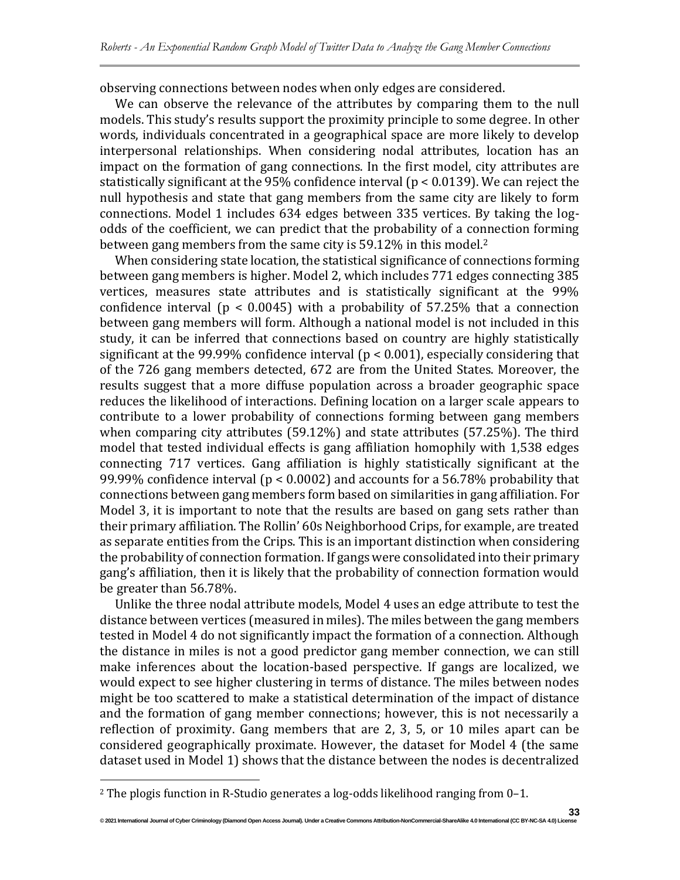observing connections between nodes when only edges are considered.

We can observe the relevance of the attributes by comparing them to the null models. This study's results support the proximity principle to some degree. In other words, individuals concentrated in a geographical space are more likely to develop interpersonal relationships. When considering nodal attributes, location has an impact on the formation of gang connections. In the first model, city attributes are statistically significant at the 95% confidence interval (p < 0.0139). We can reject the null hypothesis and state that gang members from the same city are likely to form connections. Model 1 includes 634 edges between 335 vertices. By taking the logodds of the coefficient, we can predict that the probability of a connection forming between gang members from the same city is 59.12% in this model.<sup>2</sup>

When considering state location, the statistical significance of connections forming between gang members is higher. Model 2, which includes 771 edges connecting 385 vertices, measures state attributes and is statistically significant at the 99% confidence interval ( $p < 0.0045$ ) with a probability of 57.25% that a connection between gang members will form. Although a national model is not included in this study, it can be inferred that connections based on country are highly statistically significant at the 99.99% confidence interval ( $p < 0.001$ ), especially considering that of the 726 gang members detected, 672 are from the United States. Moreover, the results suggest that a more diffuse population across a broader geographic space reduces the likelihood of interactions. Defining location on a larger scale appears to contribute to a lower probability of connections forming between gang members when comparing city attributes (59.12%) and state attributes (57.25%). The third model that tested individual effects is gang affiliation homophily with 1,538 edges connecting 717 vertices. Gang affiliation is highly statistically significant at the 99.99% confidence interval (p < 0.0002) and accounts for a 56.78% probability that connections between gang members form based on similarities in gang affiliation. For Model 3, it is important to note that the results are based on gang sets rather than their primary affiliation. The Rollin' 60s Neighborhood Crips, for example, are treated as separate entities from the Crips. This is an important distinction when considering the probability of connection formation. If gangs were consolidated into their primary gang's affiliation, then it is likely that the probability of connection formation would be greater than 56.78%.

Unlike the three nodal attribute models, Model 4 uses an edge attribute to test the distance between vertices (measured in miles). The miles between the gang members tested in Model 4 do not significantly impact the formation of a connection. Although the distance in miles is not a good predictor gang member connection, we can still make inferences about the location-based perspective. If gangs are localized, we would expect to see higher clustering in terms of distance. The miles between nodes might be too scattered to make a statistical determination of the impact of distance and the formation of gang member connections; however, this is not necessarily a reflection of proximity. Gang members that are 2, 3, 5, or 10 miles apart can be considered geographically proximate. However, the dataset for Model 4 (the same dataset used in Model 1) shows that the distance between the nodes is decentralized

<sup>2</sup> The plogis function in R-Studio generates a log-odds likelihood ranging from 0–1.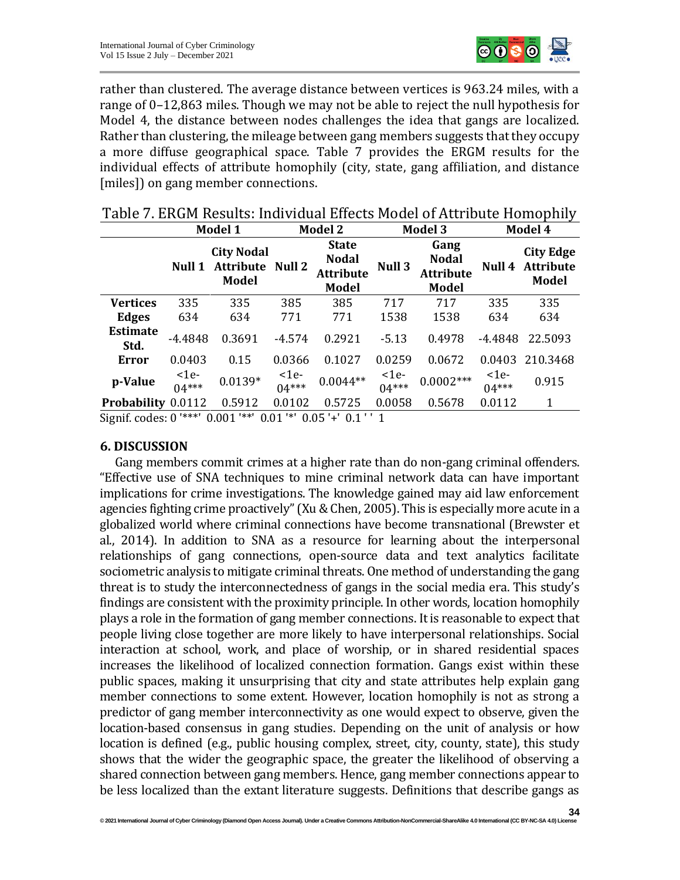

rather than clustered. The average distance between vertices is 963.24 miles, with a range of 0–12,863 miles. Though we may not be able to reject the null hypothesis for Model 4, the distance between nodes challenges the idea that gangs are localized. Rather than clustering, the mileage between gang members suggests that they occupy a more diffuse geographical space. Table 7 provides the ERGM results for the individual effects of attribute homophily (city, state, gang affiliation, and distance [miles]) on gang member connections.

|                         |                 | Model 1                                               | <b>Model 2</b>        |                                                                  | <b>Model 3</b>        |                                                          | Model 4               |                                                      |
|-------------------------|-----------------|-------------------------------------------------------|-----------------------|------------------------------------------------------------------|-----------------------|----------------------------------------------------------|-----------------------|------------------------------------------------------|
|                         | Null 1          | <b>City Nodal</b><br><b>Attribute</b><br><b>Model</b> | <b>Null 2</b>         | <b>State</b><br><b>Nodal</b><br><b>Attribute</b><br><b>Model</b> | Null 3                | Gang<br><b>Nodal</b><br><b>Attribute</b><br><b>Model</b> | Null 4                | <b>City Edge</b><br><b>Attribute</b><br><b>Model</b> |
| <b>Vertices</b>         | 335             | 335                                                   | 385                   | 385                                                              | 717                   | 717                                                      | 335                   | 335                                                  |
| <b>Edges</b>            | 634             | 634                                                   | 771                   | 771                                                              | 1538                  | 1538                                                     | 634                   | 634                                                  |
| <b>Estimate</b><br>Std. | $-4.4848$       | 0.3691                                                | $-4.574$              | 0.2921                                                           | $-5.13$               | 0.4978                                                   | $-4.4848$             | 22.5093                                              |
| Error                   | 0.0403          | 0.15                                                  | 0.0366                | 0.1027                                                           | 0.0259                | 0.0672                                                   | 0.0403                | 210.3468                                             |
| p-Value                 | $1e$<br>$04***$ | $0.0139*$                                             | $\leq$ 1e-<br>$04***$ | $0.0044**$                                                       | $\leq$ 1e-<br>$04***$ | $0.0002***$                                              | $\leq$ 1e-<br>$04***$ | 0.915                                                |
| Probability 0.0112      |                 | 0.5912                                                | 0.0102                | 0.5725                                                           | 0.0058                | 0.5678                                                   | 0.0112                | 1                                                    |

| Table 7. ERGM Results: Individual Effects Model of Attribute Homophily |  |
|------------------------------------------------------------------------|--|
|------------------------------------------------------------------------|--|

Signif. codes: 0 '\*\*\*' 0.001 '\*\*' 0.01 '\*' 0.05 '+' 0.1 ' ' 1

#### **6. DISCUSSION**

Gang members commit crimes at a higher rate than do non-gang criminal offenders. "Effective use of SNA techniques to mine criminal network data can have important implications for crime investigations. The knowledge gained may aid law enforcement agencies fighting crime proactively" (Xu & Chen, 2005). This is especially more acute in a globalized world where criminal connections have become transnational (Brewster et al., 2014). In addition to SNA as a resource for learning about the interpersonal relationships of gang connections, open-source data and text analytics facilitate sociometric analysis to mitigate criminal threats. One method of understanding the gang threat is to study the interconnectedness of gangs in the social media era. This study's findings are consistent with the proximity principle. In other words, location homophily plays a role in the formation of gang member connections. It is reasonable to expect that people living close together are more likely to have interpersonal relationships. Social interaction at school, work, and place of worship, or in shared residential spaces increases the likelihood of localized connection formation. Gangs exist within these public spaces, making it unsurprising that city and state attributes help explain gang member connections to some extent. However, location homophily is not as strong a predictor of gang member interconnectivity as one would expect to observe, given the location-based consensus in gang studies. Depending on the unit of analysis or how location is defined (e.g., public housing complex, street, city, county, state), this study shows that the wider the geographic space, the greater the likelihood of observing a shared connection between gang members. Hence, gang member connections appear to be less localized than the extant literature suggests. Definitions that describe gangs as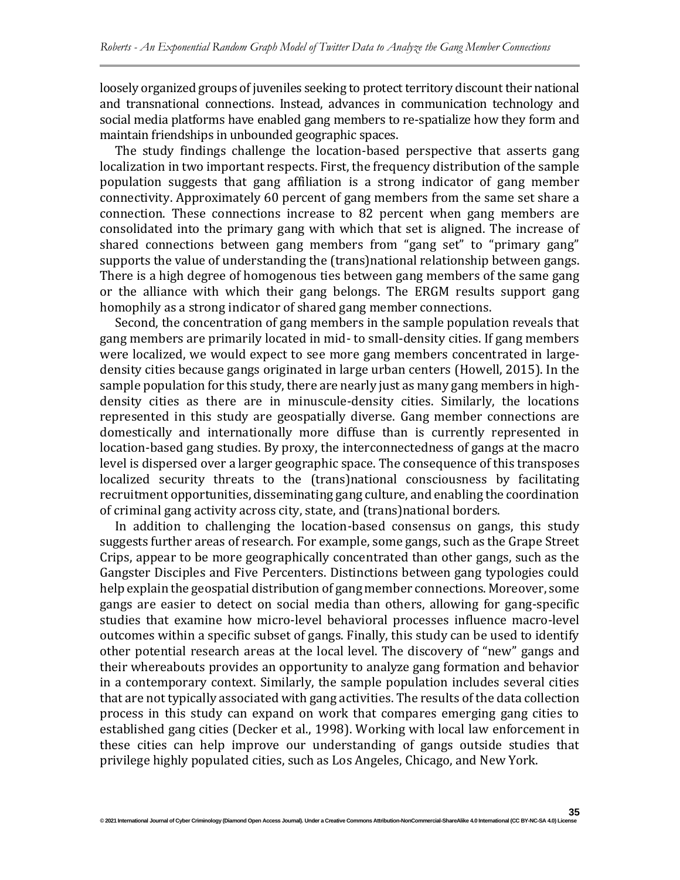loosely organized groups of juveniles seeking to protect territory discount their national and transnational connections. Instead, advances in communication technology and social media platforms have enabled gang members to re-spatialize how they form and maintain friendships in unbounded geographic spaces.

The study findings challenge the location-based perspective that asserts gang localization in two important respects. First, the frequency distribution of the sample population suggests that gang affiliation is a strong indicator of gang member connectivity. Approximately 60 percent of gang members from the same set share a connection. These connections increase to 82 percent when gang members are consolidated into the primary gang with which that set is aligned. The increase of shared connections between gang members from "gang set" to "primary gang" supports the value of understanding the (trans)national relationship between gangs. There is a high degree of homogenous ties between gang members of the same gang or the alliance with which their gang belongs. The ERGM results support gang homophily as a strong indicator of shared gang member connections.

Second, the concentration of gang members in the sample population reveals that gang members are primarily located in mid- to small-density cities. If gang members were localized, we would expect to see more gang members concentrated in largedensity cities because gangs originated in large urban centers (Howell, 2015). In the sample population for this study, there are nearly just as many gang members in highdensity cities as there are in minuscule-density cities. Similarly, the locations represented in this study are geospatially diverse. Gang member connections are domestically and internationally more diffuse than is currently represented in location-based gang studies. By proxy, the interconnectedness of gangs at the macro level is dispersed over a larger geographic space. The consequence of this transposes localized security threats to the (trans)national consciousness by facilitating recruitment opportunities, disseminating gang culture, and enabling the coordination of criminal gang activity across city, state, and (trans)national borders.

In addition to challenging the location-based consensus on gangs, this study suggests further areas of research. For example, some gangs, such as the Grape Street Crips, appear to be more geographically concentrated than other gangs, such as the Gangster Disciples and Five Percenters. Distinctions between gang typologies could help explain the geospatial distribution of gang member connections. Moreover, some gangs are easier to detect on social media than others, allowing for gang-specific studies that examine how micro-level behavioral processes influence macro-level outcomes within a specific subset of gangs. Finally, this study can be used to identify other potential research areas at the local level. The discovery of "new" gangs and their whereabouts provides an opportunity to analyze gang formation and behavior in a contemporary context. Similarly, the sample population includes several cities that are not typically associated with gang activities. The results of the data collection process in this study can expand on work that compares emerging gang cities to established gang cities (Decker et al., 1998). Working with local law enforcement in these cities can help improve our understanding of gangs outside studies that privilege highly populated cities, such as Los Angeles, Chicago, and New York.

**35**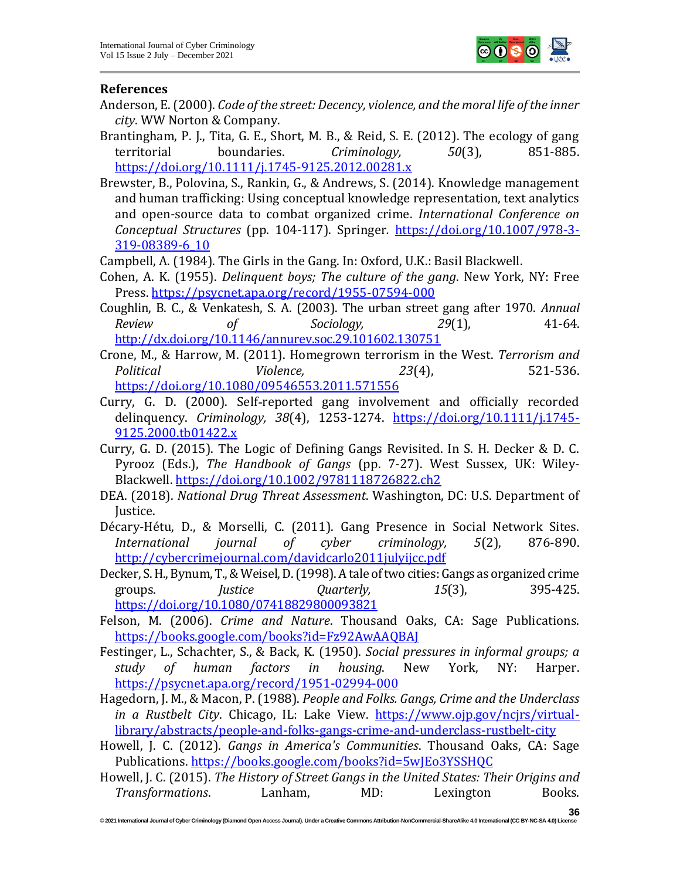

#### **References**

- Anderson, E. (2000). *Code of the street: Decency, violence, and the moral life of the inner city*. WW Norton & Company.
- Brantingham, P. J., Tita, G. E., Short, M. B., & Reid, S. E. (2012). The ecology of gang territorial boundaries. *Criminology, 50*(3), 851-885. <https://doi.org/10.1111/j.1745-9125.2012.00281.x>
- Brewster, B., Polovina, S., Rankin, G., & Andrews, S. (2014). Knowledge management and human trafficking: Using conceptual knowledge representation, text analytics and open-source data to combat organized crime. *International Conference on Conceptual Structures* (pp. 104-117). Springer*.* [https://doi.org/10.1007/978-3-](https://doi.org/10.1007/978-3-319-08389-6_10) [319-08389-6\\_10](https://doi.org/10.1007/978-3-319-08389-6_10)

Campbell, A. (1984). The Girls in the Gang. In: Oxford, U.K.: Basil Blackwell.

- Cohen, A. K. (1955). *Delinquent boys; The culture of the gang*. New York, NY: Free Press[. https://psycnet.apa.org/record/1955-07594-000](https://psycnet.apa.org/record/1955-07594-000)
- Coughlin, B. C., & Venkatesh, S. A. (2003). The urban street gang after 1970. *Annual Review of Sociology, 29*(1), 41-64. <http://dx.doi.org/10.1146/annurev.soc.29.101602.130751>
- Crone, M., & Harrow, M. (2011). Homegrown terrorism in the West. *Terrorism and Political Violence, 23*(4), 521-536. <https://doi.org/10.1080/09546553.2011.571556>
- Curry, G. D. (2000). Self‐reported gang involvement and officially recorded delinquency. *Criminology, 38*(4), 1253-1274. [https://doi.org/10.1111/j.1745-](https://doi.org/10.1111/j.1745-9125.2000.tb01422.x) [9125.2000.tb01422.x](https://doi.org/10.1111/j.1745-9125.2000.tb01422.x)
- Curry, G. D. (2015). The Logic of Defining Gangs Revisited. In S. H. Decker & D. C. Pyrooz (Eds.), *The Handbook of Gangs* (pp. 7-27). West Sussex, UK: Wiley-Blackwell.<https://doi.org/10.1002/9781118726822.ch2>
- DEA. (2018). *National Drug Threat Assessment*. Washington, DC: U.S. Department of Justice.
- Décary-Hétu, D., & Morselli, C. (2011). Gang Presence in Social Network Sites. *International journal of cyber criminology, 5*(2), 876-890. <http://cybercrimejournal.com/davidcarlo2011julyijcc.pdf>
- Decker, S. H., Bynum, T., & Weisel, D. (1998). A tale of two cities: Gangs as organized crime groups. *Justice Quarterly, 15*(3), 395-425. <https://doi.org/10.1080/07418829800093821>
- Felson, M. (2006). *Crime and Nature*. Thousand Oaks, CA: Sage Publications. <https://books.google.com/books?id=Fz92AwAAQBAJ>
- Festinger, L., Schachter, S., & Back, K. (1950). *Social pressures in informal groups; a study of human factors in housing*. New York, NY: Harper. <https://psycnet.apa.org/record/1951-02994-000>
- Hagedorn, J. M., & Macon, P. (1988). *People and Folks. Gangs, Crime and the Underclass in a Rustbelt City*. Chicago, IL: Lake View. [https://www.ojp.gov/ncjrs/virtual](https://www.ojp.gov/ncjrs/virtual-library/abstracts/people-and-folks-gangs-crime-and-underclass-rustbelt-city)[library/abstracts/people-and-folks-gangs-crime-and-underclass-rustbelt-city](https://www.ojp.gov/ncjrs/virtual-library/abstracts/people-and-folks-gangs-crime-and-underclass-rustbelt-city)
- Howell, J. C. (2012). *Gangs in America's Communities*. Thousand Oaks, CA: Sage Publications.<https://books.google.com/books?id=5wJEo3YSSHQC>
- Howell, J. C. (2015). *The History of Street Gangs in the United States: Their Origins and Transformations*. Lanham, MD: Lexington Books.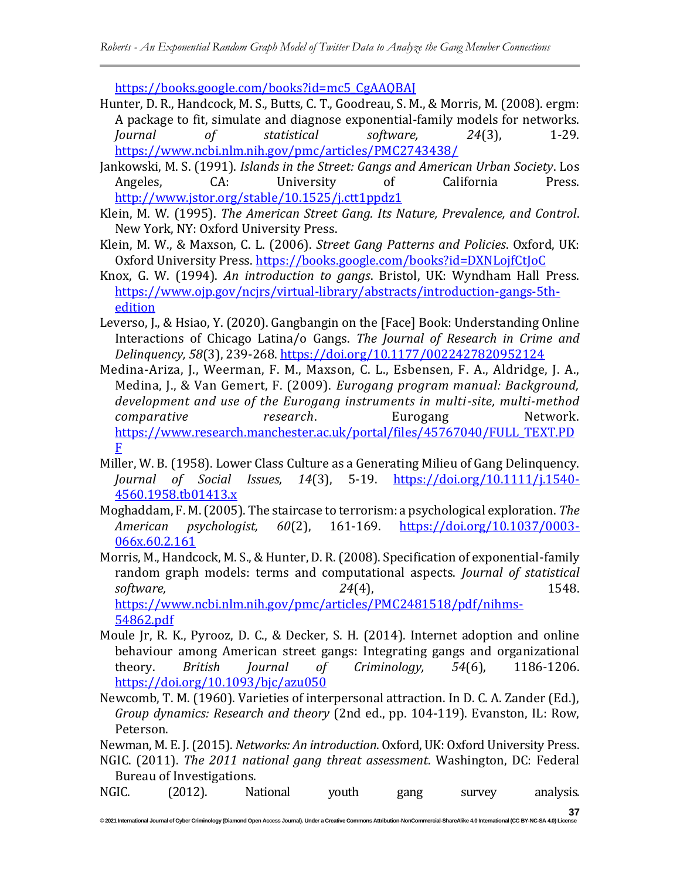[https://books.google.com/books?id=mc5\\_CgAAQBAJ](https://books.google.com/books?id=mc5_CgAAQBAJ)

- Hunter, D. R., Handcock, M. S., Butts, C. T., Goodreau, S. M., & Morris, M. (2008). ergm: A package to fit, simulate and diagnose exponential-family models for networks. *Journal of statistical software, 24*(3), 1-29. <https://www.ncbi.nlm.nih.gov/pmc/articles/PMC2743438/>
- Jankowski, M. S. (1991). *Islands in the Street: Gangs and American Urban Society*. Los Angeles, CA: University of California Press. <http://www.jstor.org/stable/10.1525/j.ctt1ppdz1>
- Klein, M. W. (1995). *The American Street Gang. Its Nature, Prevalence, and Control*. New York, NY: Oxford University Press.
- Klein, M. W., & Maxson, C. L. (2006). *Street Gang Patterns and Policies*. Oxford, UK: Oxford University Press.<https://books.google.com/books?id=DXNLojfCtJoC>
- Knox, G. W. (1994). *An introduction to gangs*. Bristol, UK: Wyndham Hall Press. [https://www.ojp.gov/ncjrs/virtual-library/abstracts/introduction-gangs-5th](https://www.ojp.gov/ncjrs/virtual-library/abstracts/introduction-gangs-5th-edition)[edition](https://www.ojp.gov/ncjrs/virtual-library/abstracts/introduction-gangs-5th-edition)
- Leverso, J., & Hsiao, Y. (2020). Gangbangin on the [Face] Book: Understanding Online Interactions of Chicago Latina/o Gangs. *The Journal of Research in Crime and Delinquency, 58*(3), 239-268.<https://doi.org/10.1177/0022427820952124>
- Medina-Ariza, J., Weerman, F. M., Maxson, C. L., Esbensen, F. A., Aldridge, J. A., Medina, J., & Van Gemert, F. (2009). *Eurogang program manual: Background, development and use of the Eurogang instruments in multi-site, multi-method comparative research*. Eurogang Network. [https://www.research.manchester.ac.uk/portal/files/45767040/FULL\\_TEXT.PD](https://www.research.manchester.ac.uk/portal/files/45767040/FULL_TEXT.PDF) [F](https://www.research.manchester.ac.uk/portal/files/45767040/FULL_TEXT.PDF)
- Miller, W. B. (1958). Lower Class Culture as a Generating Milieu of Gang Delinquency. *Journal of Social Issues, 14*(3), 5-19. [https://doi.org/10.1111/j.1540-](https://doi.org/10.1111/j.1540-4560.1958.tb01413.x) [4560.1958.tb01413.x](https://doi.org/10.1111/j.1540-4560.1958.tb01413.x)
- Moghaddam, F. M. (2005). The staircase to terrorism: a psychological exploration. *The American psychologist, 60*(2), 161-169. [https://doi.org/10.1037/0003-](https://doi.org/10.1037/0003-066x.60.2.161) [066x.60.2.161](https://doi.org/10.1037/0003-066x.60.2.161)
- Morris, M., Handcock, M. S., & Hunter, D. R. (2008). Specification of exponential-family random graph models: terms and computational aspects. *Journal of statistical software, 24*(4), 1548. [https://www.ncbi.nlm.nih.gov/pmc/articles/PMC2481518/pdf/nihms-](https://www.ncbi.nlm.nih.gov/pmc/articles/PMC2481518/pdf/nihms-54862.pdf)

[54862.pdf](https://www.ncbi.nlm.nih.gov/pmc/articles/PMC2481518/pdf/nihms-54862.pdf)

- Moule Jr, R. K., Pyrooz, D. C., & Decker, S. H. (2014). Internet adoption and online behaviour among American street gangs: Integrating gangs and organizational theory. *British Journal of Criminology, 54*(6), 1186-1206. <https://doi.org/10.1093/bjc/azu050>
- Newcomb, T. M. (1960). Varieties of interpersonal attraction. In D. C. A. Zander (Ed.), *Group dynamics: Research and theory* (2nd ed., pp. 104-119). Evanston, IL: Row, Peterson.

Newman, M. E. J. (2015). *Networks: An introduction*. Oxford, UK: Oxford University Press. NGIC. (2011). *The 2011 national gang threat assessment*. Washington, DC: Federal Bureau of Investigations.

NGIC. (2012). National youth gang survey analysis.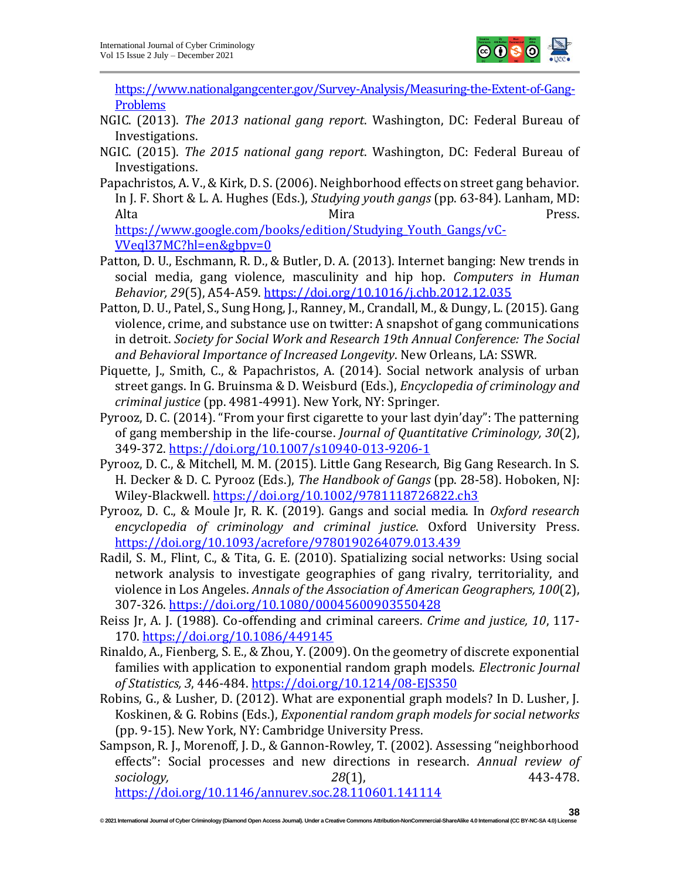

[https://www.nationalgangcenter.gov/Survey-Analysis/Measuring-the-Extent-of-Gang-](https://www.nationalgangcenter.gov/Survey-Analysis/Measuring-the-Extent-of-Gang-Problems)[Problems](https://www.nationalgangcenter.gov/Survey-Analysis/Measuring-the-Extent-of-Gang-Problems)

- NGIC. (2013). *The 2013 national gang report*. Washington, DC: Federal Bureau of Investigations.
- NGIC. (2015). *The 2015 national gang report*. Washington, DC: Federal Bureau of Investigations.
- Papachristos, A. V., & Kirk, D. S. (2006). Neighborhood effects on street gang behavior. In J. F. Short & L. A. Hughes (Eds.), *Studying youth gangs* (pp. 63-84). Lanham, MD: Alta Press. [https://www.google.com/books/edition/Studying\\_Youth\\_Gangs/vC-](https://www.google.com/books/edition/Studying_Youth_Gangs/vC-VVeql37MC?hl=en&gbpv=0)[VVeql37MC?hl=en&gbpv=0](https://www.google.com/books/edition/Studying_Youth_Gangs/vC-VVeql37MC?hl=en&gbpv=0)
- Patton, D. U., Eschmann, R. D., & Butler, D. A. (2013). Internet banging: New trends in social media, gang violence, masculinity and hip hop. *Computers in Human Behavior, 29*(5), A54-A59.<https://doi.org/10.1016/j.chb.2012.12.035>
- Patton, D. U., Patel, S., Sung Hong, J., Ranney, M., Crandall, M., & Dungy, L. (2015). Gang violence, crime, and substance use on twitter: A snapshot of gang communications in detroit. *Society for Social Work and Research 19th Annual Conference: The Social and Behavioral Importance of Increased Longevity*. New Orleans, LA: SSWR*.*
- Piquette, J., Smith, C., & Papachristos, A. (2014). Social network analysis of urban street gangs. In G. Bruinsma & D. Weisburd (Eds.), *Encyclopedia of criminology and criminal justice* (pp. 4981-4991). New York, NY: Springer.
- Pyrooz, D. C. (2014). "From your first cigarette to your last dyin'day": The patterning of gang membership in the life-course. *Journal of Quantitative Criminology, 30*(2), 349-372.<https://doi.org/10.1007/s10940-013-9206-1>
- Pyrooz, D. C., & Mitchell, M. M. (2015). Little Gang Research, Big Gang Research. In S. H. Decker & D. C. Pyrooz (Eds.), *The Handbook of Gangs* (pp. 28-58). Hoboken, NJ: Wiley-Blackwell.<https://doi.org/10.1002/9781118726822.ch3>
- Pyrooz, D. C., & Moule Jr, R. K. (2019). Gangs and social media. In *Oxford research encyclopedia of criminology and criminal justice*. Oxford University Press. <https://doi.org/10.1093/acrefore/9780190264079.013.439>
- Radil, S. M., Flint, C., & Tita, G. E. (2010). Spatializing social networks: Using social network analysis to investigate geographies of gang rivalry, territoriality, and violence in Los Angeles. *Annals of the Association of American Geographers, 100*(2), 307-326.<https://doi.org/10.1080/00045600903550428>
- Reiss Jr, A. J. (1988). Co-offending and criminal careers. *Crime and justice, 10*, 117- 170.<https://doi.org/10.1086/449145>
- Rinaldo, A., Fienberg, S. E., & Zhou, Y. (2009). On the geometry of discrete exponential families with application to exponential random graph models. *Electronic Journal of Statistics, 3*, 446-484.<https://doi.org/10.1214/08-EJS350>
- Robins, G., & Lusher, D. (2012). What are exponential graph models? In D. Lusher, J. Koskinen, & G. Robins (Eds.), *Exponential random graph models for social networks*  (pp. 9-15). New York, NY: Cambridge University Press.
- Sampson, R. J., Morenoff, J. D., & Gannon-Rowley, T. (2002). Assessing "neighborhood effects": Social processes and new directions in research. *Annual review of sociology, 28*(1), 443-478. <https://doi.org/10.1146/annurev.soc.28.110601.141114>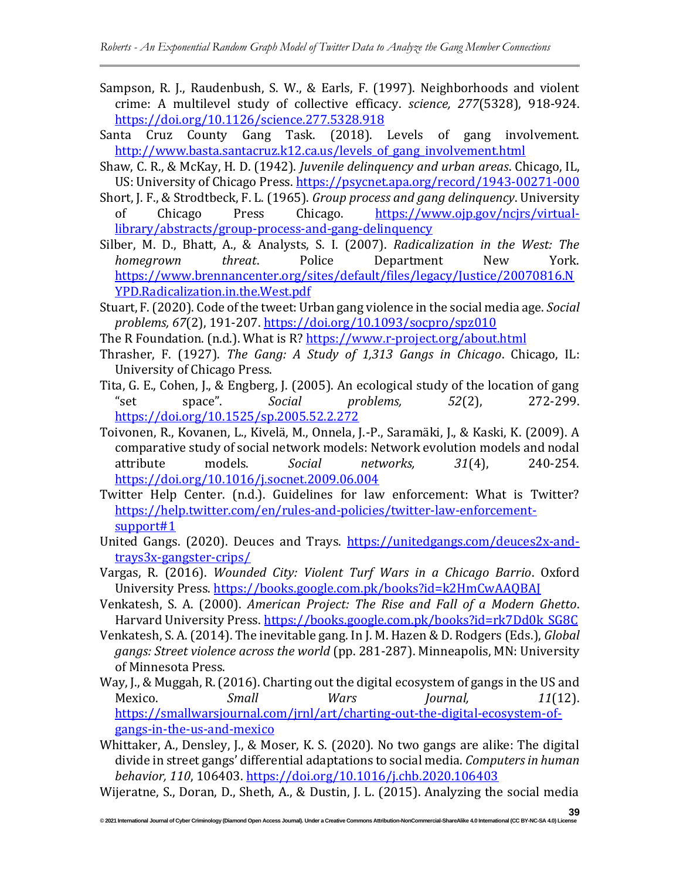- Sampson, R. J., Raudenbush, S. W., & Earls, F. (1997). Neighborhoods and violent crime: A multilevel study of collective efficacy. *science, 277*(5328), 918-924. <https://doi.org/10.1126/science.277.5328.918>
- Santa Cruz County Gang Task. (2018). Levels of gang involvement. http://www.basta.santacruz.k12.ca.us/levels of gang involvement.html
- Shaw, C. R., & McKay, H. D. (1942). *Juvenile delinquency and urban areas*. Chicago, IL, US: University of Chicago Press[. https://psycnet.apa.org/record/1943-00271-000](https://psycnet.apa.org/record/1943-00271-000)
- Short, J. F., & Strodtbeck, F. L. (1965). *Group process and gang delinquency*. University of Chicago Press Chicago. [https://www.ojp.gov/ncjrs/virtual](https://www.ojp.gov/ncjrs/virtual-library/abstracts/group-process-and-gang-delinquency)[library/abstracts/group-process-and-gang-delinquency](https://www.ojp.gov/ncjrs/virtual-library/abstracts/group-process-and-gang-delinquency)
- Silber, M. D., Bhatt, A., & Analysts, S. I. (2007). *Radicalization in the West: The homegrown threat*. Police Department New York. [https://www.brennancenter.org/sites/default/files/legacy/Justice/20070816.N](https://www.brennancenter.org/sites/default/files/legacy/Justice/20070816.NYPD.Radicalization.in.the.West.pdf) [YPD.Radicalization.in.the.West.pdf](https://www.brennancenter.org/sites/default/files/legacy/Justice/20070816.NYPD.Radicalization.in.the.West.pdf)
- Stuart, F. (2020). Code of the tweet: Urban gang violence in the social media age. *Social problems, 67*(2), 191-207.<https://doi.org/10.1093/socpro/spz010>
- The R Foundation. (n.d.). What is R?<https://www.r-project.org/about.html>
- Thrasher, F. (1927). *The Gang: A Study of 1,313 Gangs in Chicago*. Chicago, IL: University of Chicago Press.
- Tita, G. E., Cohen, J., & Engberg, J. (2005). An ecological study of the location of gang "set space". *Social problems, 52*(2), 272-299. <https://doi.org/10.1525/sp.2005.52.2.272>
- Toivonen, R., Kovanen, L., Kivelä, M., Onnela, J.-P., Saramäki, J., & Kaski, K. (2009). A comparative study of social network models: Network evolution models and nodal attribute models. *Social networks, 31*(4), 240-254. <https://doi.org/10.1016/j.socnet.2009.06.004>
- Twitter Help Center. (n.d.). Guidelines for law enforcement: What is Twitter? [https://help.twitter.com/en/rules-and-policies/twitter-law-enforcement](https://help.twitter.com/en/rules-and-policies/twitter-law-enforcement-support#1)[support#1](https://help.twitter.com/en/rules-and-policies/twitter-law-enforcement-support#1)
- United Gangs. (2020). Deuces and Trays. [https://unitedgangs.com/deuces2x-and](https://unitedgangs.com/deuces2x-and-trays3x-gangster-crips/)[trays3x-gangster-crips/](https://unitedgangs.com/deuces2x-and-trays3x-gangster-crips/)
- Vargas, R. (2016). *Wounded City: Violent Turf Wars in a Chicago Barrio*. Oxford University Press.<https://books.google.com.pk/books?id=k2HmCwAAQBAJ>
- Venkatesh, S. A. (2000). *American Project: The Rise and Fall of a Modern Ghetto*. Harvard University Press[. https://books.google.com.pk/books?id=rk7Dd0k\\_SG8C](https://books.google.com.pk/books?id=rk7Dd0k_SG8C)
- Venkatesh, S. A. (2014). The inevitable gang. In J. M. Hazen & D. Rodgers (Eds.), *Global gangs: Street violence across the world* (pp. 281-287). Minneapolis, MN: University of Minnesota Press.
- Way, J., & Muggah, R. (2016). Charting out the digital ecosystem of gangs in the US and Mexico. *Small Wars Journal, 11*(12). [https://smallwarsjournal.com/jrnl/art/charting-out-the-digital-ecosystem-of](https://smallwarsjournal.com/jrnl/art/charting-out-the-digital-ecosystem-of-gangs-in-the-us-and-mexico)[gangs-in-the-us-and-mexico](https://smallwarsjournal.com/jrnl/art/charting-out-the-digital-ecosystem-of-gangs-in-the-us-and-mexico)
- Whittaker, A., Densley, J., & Moser, K. S. (2020). No two gangs are alike: The digital divide in street gangs' differential adaptations to social media. *Computers in human behavior, 110*, 106403.<https://doi.org/10.1016/j.chb.2020.106403>
- Wijeratne, S., Doran, D., Sheth, A., & Dustin, J. L. (2015). Analyzing the social media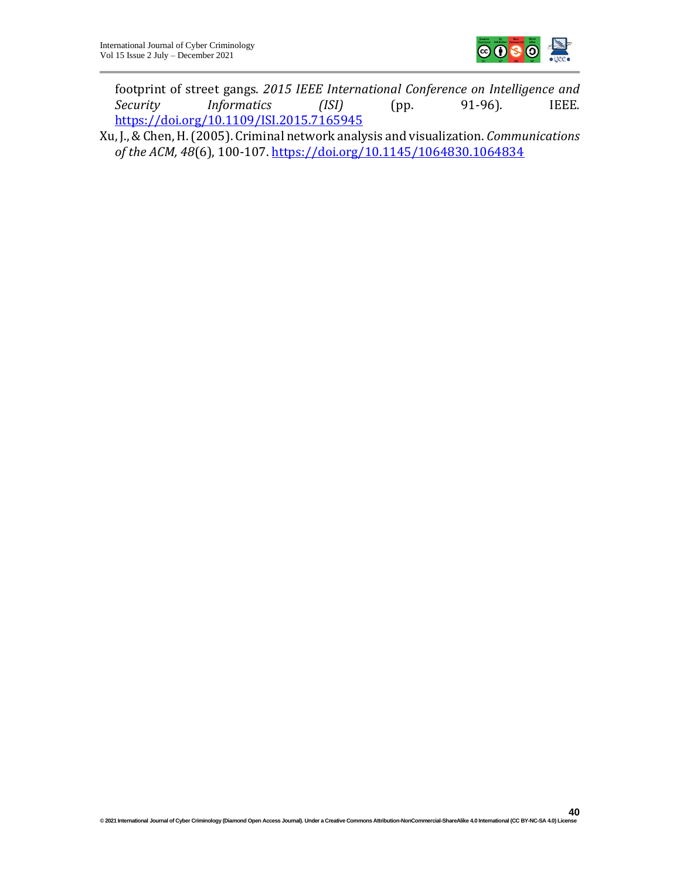

footprint of street gangs. *2015 IEEE International Conference on Intelligence and Security Informatics (ISI)* (pp. 91-96). IEEE*.* <https://doi.org/10.1109/ISI.2015.7165945>

Xu, J., & Chen, H. (2005). Criminal network analysis and visualization. *Communications of the ACM, 48*(6), 100-107.<https://doi.org/10.1145/1064830.1064834>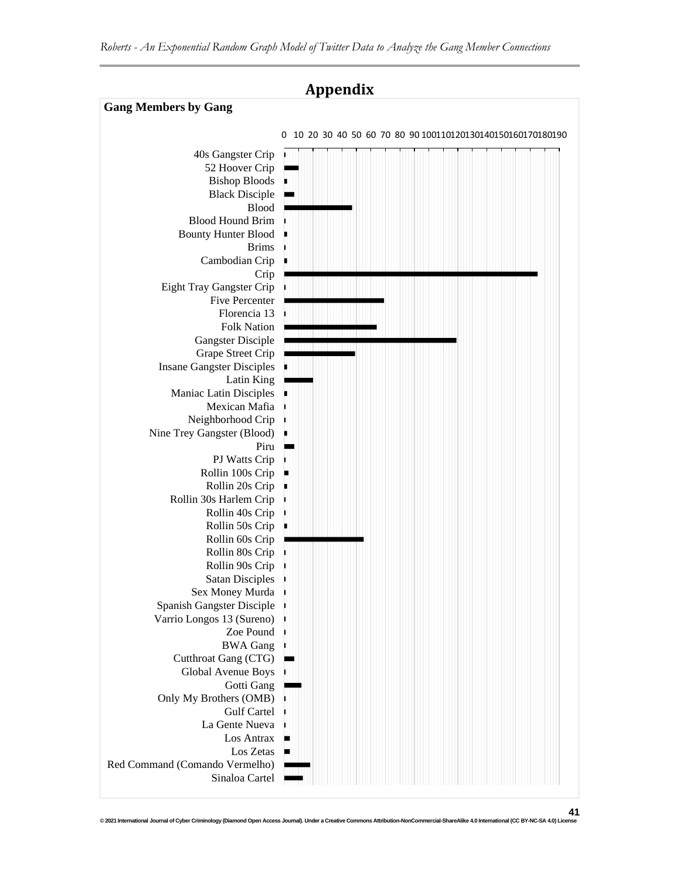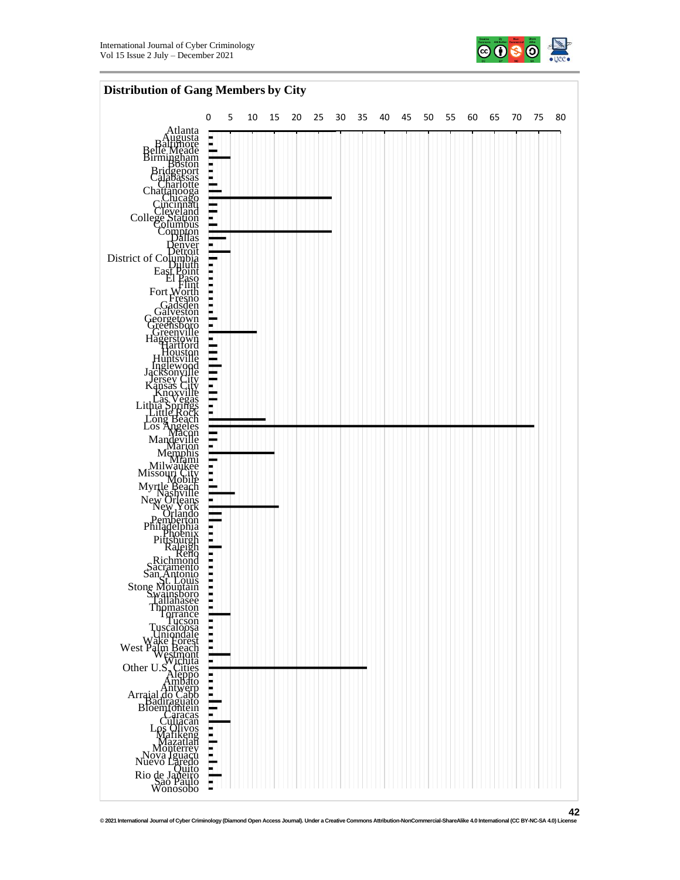